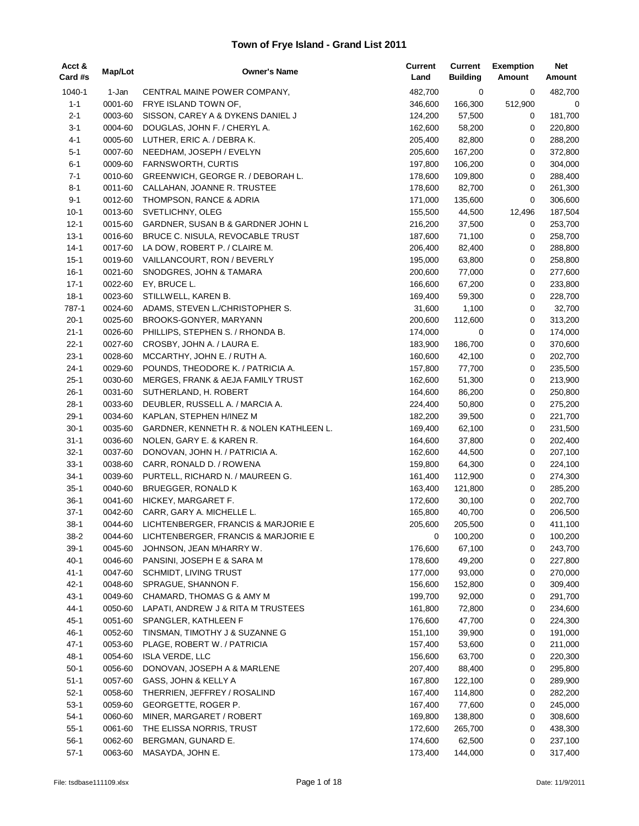| Acct &<br>Card #s | Map/Lot | Owner's Name                            | <b>Current</b><br>Land | Current<br><b>Building</b> | <b>Exemption</b><br>Amount | <b>Net</b><br><b>Amount</b> |
|-------------------|---------|-----------------------------------------|------------------------|----------------------------|----------------------------|-----------------------------|
| 1040-1            | 1-Jan   | CENTRAL MAINE POWER COMPANY,            | 482,700                | 0                          | 0                          | 482,700                     |
| $1 - 1$           | 0001-60 | FRYE ISLAND TOWN OF,                    | 346,600                | 166,300                    | 512,900                    | $\mathbf 0$                 |
| $2 - 1$           | 0003-60 | SISSON, CAREY A & DYKENS DANIEL J       | 124,200                | 57,500                     | 0                          | 181,700                     |
| $3 - 1$           | 0004-60 | DOUGLAS, JOHN F. / CHERYL A.            | 162,600                | 58,200                     | 0                          | 220,800                     |
| 4-1               | 0005-60 | LUTHER, ERIC A. / DEBRA K.              | 205,400                | 82,800                     | 0                          | 288,200                     |
| $5 - 1$           | 0007-60 | NEEDHAM, JOSEPH / EVELYN                | 205,600                | 167,200                    | 0                          | 372,800                     |
| $6 - 1$           | 0009-60 | FARNSWORTH, CURTIS                      | 197,800                | 106,200                    | 0                          | 304,000                     |
| $7 - 1$           | 0010-60 | GREENWICH, GEORGE R. / DEBORAH L.       | 178,600                | 109,800                    | 0                          | 288,400                     |
| $8 - 1$           | 0011-60 | CALLAHAN, JOANNE R. TRUSTEE             | 178,600                | 82,700                     | 0                          | 261,300                     |
| $9 - 1$           | 0012-60 | THOMPSON, RANCE & ADRIA                 | 171,000                | 135,600                    | 0                          | 306,600                     |
| $10-1$            | 0013-60 | SVETLICHNY, OLEG                        | 155,500                | 44,500                     | 12,496                     | 187,504                     |
| $12 - 1$          | 0015-60 | GARDNER, SUSAN B & GARDNER JOHN L       | 216,200                | 37,500                     | 0                          | 253,700                     |
| $13 - 1$          | 0016-60 | BRUCE C. NISULA, REVOCABLE TRUST        | 187,600                | 71,100                     | 0                          | 258,700                     |
| $14-1$            | 0017-60 | LA DOW, ROBERT P. / CLAIRE M.           | 206,400                | 82,400                     | $\mathbf 0$                | 288,800                     |
| $15 - 1$          | 0019-60 | VAILLANCOURT, RON / BEVERLY             | 195,000                | 63,800                     | $\pmb{0}$                  | 258,800                     |
| $16 - 1$          | 0021-60 | SNODGRES, JOHN & TAMARA                 | 200,600                | 77,000                     | 0                          | 277,600                     |
| $17 - 1$          | 0022-60 | EY, BRUCE L.                            | 166,600                | 67,200                     | 0                          | 233,800                     |
| $18-1$            | 0023-60 | STILLWELL, KAREN B.                     | 169,400                | 59,300                     | $\mathbf 0$                | 228,700                     |
| 787-1             | 0024-60 | ADAMS, STEVEN L./CHRISTOPHER S.         | 31,600                 | 1,100                      | 0                          | 32,700                      |
| $20-1$            | 0025-60 | BROOKS-GONYER, MARYANN                  | 200,600                | 112,600                    | 0                          | 313,200                     |
| $21 - 1$          | 0026-60 | PHILLIPS, STEPHEN S. / RHONDA B.        | 174,000                | 0                          | 0                          | 174,000                     |
| $22 - 1$          | 0027-60 | CROSBY, JOHN A. / LAURA E.              | 183,900                | 186,700                    | 0                          | 370,600                     |
| $23 - 1$          | 0028-60 | MCCARTHY, JOHN E. / RUTH A.             | 160,600                | 42,100                     | 0                          | 202,700                     |
| $24 - 1$          | 0029-60 | POUNDS, THEODORE K. / PATRICIA A.       | 157,800                | 77,700                     | 0                          | 235,500                     |
| $25-1$            | 0030-60 | MERGES, FRANK & AEJA FAMILY TRUST       | 162,600                | 51,300                     | 0                          | 213,900                     |
| $26-1$            | 0031-60 | SUTHERLAND, H. ROBERT                   | 164,600                | 86,200                     | 0                          | 250,800                     |
| $28-1$            | 0033-60 | DEUBLER, RUSSELL A. / MARCIA A.         | 224,400                | 50,800                     | 0                          | 275,200                     |
| $29-1$            | 0034-60 | KAPLAN, STEPHEN H/INEZ M                | 182,200                | 39,500                     | 0                          | 221,700                     |
| $30-1$            | 0035-60 | GARDNER, KENNETH R. & NOLEN KATHLEEN L. | 169,400                | 62,100                     | 0                          | 231,500                     |
| $31 - 1$          | 0036-60 | NOLEN, GARY E. & KAREN R.               | 164,600                | 37,800                     | 0                          | 202,400                     |
| $32 - 1$          | 0037-60 | DONOVAN, JOHN H. / PATRICIA A.          | 162,600                | 44,500                     | 0                          | 207,100                     |
| $33-1$            | 0038-60 | CARR, RONALD D. / ROWENA                | 159,800                | 64,300                     | 0                          | 224,100                     |
| $34-1$            | 0039-60 | PURTELL, RICHARD N. / MAUREEN G.        | 161,400                | 112,900                    | 0                          | 274,300                     |
| $35-1$            | 0040-60 | <b>BRUEGGER, RONALD K</b>               | 163,400                | 121,800                    | 0                          | 285,200                     |
| $36-1$            | 0041-60 | HICKEY, MARGARET F.                     | 172,600                | 30,100                     | 0                          | 202,700                     |
| $37-1$            | 0042-60 | CARR, GARY A. MICHELLE L.               | 165,800                | 40,700                     | 0                          | 206,500                     |
| $38-1$            | 0044-60 | LICHTENBERGER, FRANCIS & MARJORIE E     | 205,600                | 205,500                    | 0                          | 411,100                     |
| $38-2$            | 0044-60 | LICHTENBERGER, FRANCIS & MARJORIE E     | 0                      | 100,200                    | 0                          | 100,200                     |
| $39-1$            | 0045-60 | JOHNSON, JEAN M/HARRY W.                | 176,600                | 67,100                     | 0                          | 243,700                     |
| $40-1$            | 0046-60 | PANSINI, JOSEPH E & SARA M              | 178,600                | 49,200                     | 0                          | 227,800                     |
| 41-1              | 0047-60 | <b>SCHMIDT, LIVING TRUST</b>            | 177,000                | 93,000                     | 0                          | 270,000                     |
| 42-1              | 0048-60 | SPRAGUE, SHANNON F.                     | 156,600                | 152,800                    | 0                          | 309,400                     |
| 43-1              | 0049-60 | CHAMARD, THOMAS G & AMY M               | 199,700                | 92,000                     | 0                          | 291,700                     |
| 44-1              | 0050-60 | LAPATI, ANDREW J & RITA M TRUSTEES      | 161,800                | 72,800                     | 0                          | 234,600                     |
| 45-1              | 0051-60 | SPANGLER, KATHLEEN F                    | 176,600                | 47,700                     | 0                          | 224,300                     |
| 46-1              | 0052-60 | TINSMAN, TIMOTHY J & SUZANNE G          | 151,100                | 39,900                     | 0                          | 191,000                     |
| 47-1              | 0053-60 | PLAGE, ROBERT W. / PATRICIA             | 157,400                | 53,600                     | 0                          | 211,000                     |
| 48-1              | 0054-60 | <b>ISLA VERDE, LLC</b>                  | 156,600                | 63,700                     | 0                          | 220,300                     |
| $50-1$            | 0056-60 | DONOVAN, JOSEPH A & MARLENE             | 207,400                | 88,400                     | 0                          | 295,800                     |
| $51-1$            | 0057-60 | GASS, JOHN & KELLY A                    | 167,800                | 122,100                    | 0                          | 289,900                     |
| $52-1$            | 0058-60 | THERRIEN, JEFFREY / ROSALIND            | 167,400                | 114,800                    | 0                          | 282,200                     |
| $53-1$            | 0059-60 | GEORGETTE, ROGER P.                     | 167,400                | 77,600                     | 0                          | 245,000                     |
| 54-1              | 0060-60 | MINER, MARGARET / ROBERT                | 169,800                | 138,800                    | 0                          | 308,600                     |
| $55-1$            | 0061-60 | THE ELISSA NORRIS, TRUST                | 172,600                | 265,700                    | 0                          | 438,300                     |
| $56-1$            | 0062-60 | BERGMAN, GUNARD E.                      | 174,600                | 62,500                     | 0                          | 237,100                     |
| $57-1$            | 0063-60 | MASAYDA, JOHN E.                        | 173,400                | 144,000                    | 0                          | 317,400                     |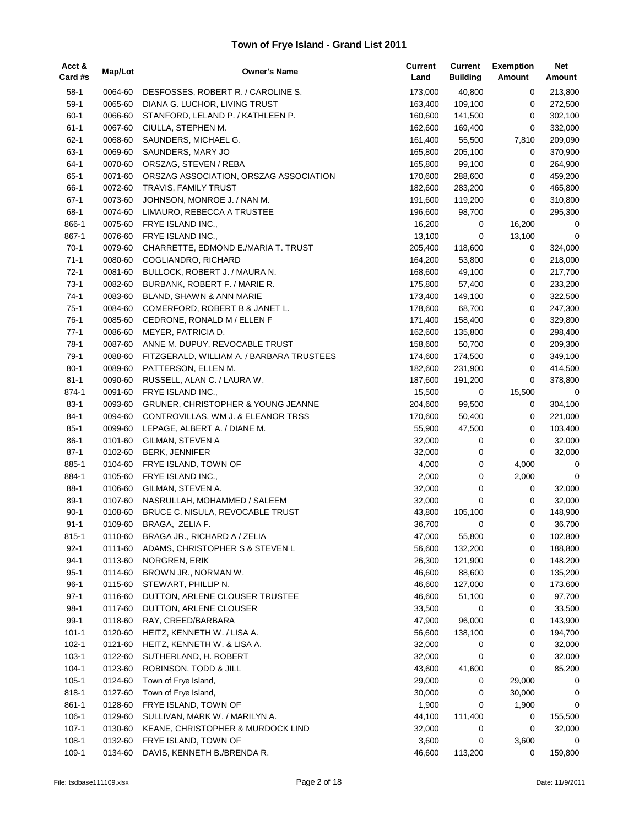| Acct &<br>Card #s | Map/Lot | <b>Owner's Name</b>                       | <b>Current</b><br>Land | Current<br><b>Building</b> | <b>Exemption</b><br>Amount | <b>Net</b><br><b>Amount</b> |
|-------------------|---------|-------------------------------------------|------------------------|----------------------------|----------------------------|-----------------------------|
| $58-1$            | 0064-60 | DESFOSSES, ROBERT R. / CAROLINE S.        | 173,000                | 40,800                     | 0                          | 213,800                     |
| $59-1$            | 0065-60 | DIANA G. LUCHOR, LIVING TRUST             | 163,400                | 109,100                    | 0                          | 272,500                     |
| $60-1$            | 0066-60 | STANFORD, LELAND P. / KATHLEEN P.         | 160,600                | 141,500                    | 0                          | 302,100                     |
| $61 - 1$          | 0067-60 | CIULLA, STEPHEN M.                        | 162,600                | 169,400                    | 0                          | 332,000                     |
| $62 - 1$          | 0068-60 | SAUNDERS, MICHAEL G.                      | 161,400                | 55,500                     | 7,810                      | 209,090                     |
| $63-1$            | 0069-60 | SAUNDERS, MARY JO                         | 165,800                | 205,100                    | 0                          | 370,900                     |
| $64-1$            | 0070-60 | ORSZAG, STEVEN / REBA                     | 165,800                | 99,100                     | 0                          | 264,900                     |
| $65-1$            | 0071-60 | ORSZAG ASSOCIATION, ORSZAG ASSOCIATION    | 170,600                | 288,600                    | 0                          | 459,200                     |
| 66-1              | 0072-60 | TRAVIS, FAMILY TRUST                      | 182,600                | 283,200                    | 0                          | 465,800                     |
| $67-1$            | 0073-60 | JOHNSON, MONROE J. / NAN M.               | 191,600                | 119,200                    | 0                          | 310,800                     |
| 68-1              | 0074-60 | LIMAURO, REBECCA A TRUSTEE                | 196,600                | 98,700                     | 0                          | 295,300                     |
| 866-1             | 0075-60 | FRYE ISLAND INC.,                         | 16,200                 | 0                          | 16,200                     | 0                           |
| 867-1             | 0076-60 | FRYE ISLAND INC.,                         | 13,100                 | 0                          | 13,100                     | 0                           |
| $70-1$            | 0079-60 | CHARRETTE, EDMOND E./MARIA T. TRUST       | 205,400                | 118,600                    | 0                          | 324,000                     |
| $71-1$            | 0080-60 | COGLIANDRO, RICHARD                       | 164,200                | 53,800                     | 0                          | 218,000                     |
| $72-1$            | 0081-60 | BULLOCK, ROBERT J. / MAURA N.             | 168,600                | 49,100                     | 0                          | 217,700                     |
| $73-1$            | 0082-60 | BURBANK, ROBERT F. / MARIE R.             | 175,800                | 57,400                     | 0                          | 233,200                     |
| 74-1              | 0083-60 | BLAND, SHAWN & ANN MARIE                  | 173,400                | 149,100                    | 0                          | 322,500                     |
| $75-1$            | 0084-60 | COMERFORD, ROBERT B & JANET L.            | 178,600                | 68,700                     | 0                          | 247,300                     |
| 76-1              | 0085-60 | CEDRONE, RONALD M / ELLEN F               | 171,400                | 158,400                    | 0                          | 329,800                     |
| $77-1$            | 0086-60 | MEYER, PATRICIA D.                        | 162,600                | 135,800                    | 0                          | 298,400                     |
| $78-1$            | 0087-60 | ANNE M. DUPUY, REVOCABLE TRUST            | 158,600                | 50,700                     | 0                          | 209,300                     |
| 79-1              | 0088-60 | FITZGERALD, WILLIAM A. / BARBARA TRUSTEES | 174,600                | 174,500                    | 0                          | 349,100                     |
| $80-1$            | 0089-60 | PATTERSON, ELLEN M.                       | 182,600                | 231,900                    | 0                          | 414,500                     |
| $81 - 1$          | 0090-60 | RUSSELL, ALAN C. / LAURA W.               | 187,600                | 191,200                    | 0                          | 378,800                     |
| 874-1             | 0091-60 | FRYE ISLAND INC.,                         | 15,500                 | 0                          | 15,500                     | 0                           |
| $83-1$            | 0093-60 | GRUNER, CHRISTOPHER & YOUNG JEANNE        | 204,600                | 99,500                     | 0                          | 304,100                     |
| 84-1              | 0094-60 | CONTROVILLAS, WM J. & ELEANOR TRSS        | 170,600                | 50,400                     | 0                          | 221,000                     |
| $85 - 1$          | 0099-60 | LEPAGE, ALBERT A. / DIANE M.              | 55,900                 | 47,500                     | 0                          | 103,400                     |
| $86-1$            | 0101-60 | GILMAN, STEVEN A                          | 32,000                 | 0                          | 0                          | 32,000                      |
| $87-1$            | 0102-60 | <b>BERK, JENNIFER</b>                     | 32,000                 | 0                          | 0                          | 32,000                      |
| 885-1             | 0104-60 | FRYE ISLAND, TOWN OF                      | 4,000                  | 0                          | 4,000                      | 0                           |
| 884-1             | 0105-60 | FRYE ISLAND INC.,                         | 2,000                  | 0                          | 2,000                      | 0                           |
| 88-1              | 0106-60 | GILMAN, STEVEN A.                         | 32,000                 | 0                          | 0                          | 32,000                      |
| 89-1              | 0107-60 | NASRULLAH, MOHAMMED / SALEEM              | 32,000                 | 0                          | 0                          | 32,000                      |
| $90 - 1$          | 0108-60 | BRUCE C. NISULA, REVOCABLE TRUST          | 43,800                 | 105,100                    | 0                          | 148,900                     |
| $91 - 1$          | 0109-60 | BRAGA, ZELIA F.                           | 36,700                 | 0                          | 0                          | 36,700                      |
| 815-1             | 0110-60 | BRAGA JR., RICHARD A / ZELIA              | 47,000                 | 55,800                     | 0                          | 102,800                     |
| $92 - 1$          | 0111-60 | ADAMS, CHRISTOPHER S & STEVEN L           | 56,600                 | 132,200                    | 0                          | 188,800                     |
| $94-1$            | 0113-60 | NORGREN, ERIK                             | 26,300                 | 121,900                    | 0                          | 148,200                     |
| $95 - 1$          | 0114-60 | BROWN JR., NORMAN W.                      | 46,600                 | 88,600                     | 0                          | 135,200                     |
| $96-1$            | 0115-60 | STEWART, PHILLIP N.                       | 46,600                 | 127,000                    | 0                          | 173,600                     |
| $97-1$            | 0116-60 | DUTTON, ARLENE CLOUSER TRUSTEE            | 46,600                 | 51,100                     | 0                          | 97,700                      |
| $98-1$            | 0117-60 | DUTTON, ARLENE CLOUSER                    | 33,500                 | 0                          | 0                          | 33,500                      |
| 99-1              | 0118-60 | RAY, CREED/BARBARA                        | 47,900                 | 96,000                     | 0                          | 143,900                     |
| $101 - 1$         | 0120-60 | HEITZ, KENNETH W. / LISA A.               | 56,600                 | 138,100                    | 0                          | 194,700                     |
| $102 - 1$         | 0121-60 | HEITZ, KENNETH W. & LISA A.               | 32,000                 | 0                          | 0                          | 32,000                      |
| $103-1$           | 0122-60 | SUTHERLAND, H. ROBERT                     | 32,000                 | 0                          | 0                          | 32,000                      |
| $104 - 1$         | 0123-60 | ROBINSON, TODD & JILL                     | 43,600                 | 41,600                     | 0                          | 85,200                      |
| $105 - 1$         | 0124-60 | Town of Frye Island,                      | 29,000                 | 0                          | 29,000                     | 0                           |
| 818-1             | 0127-60 | Town of Frye Island,                      | 30,000                 | 0                          | 30,000                     | 0                           |
| 861-1             | 0128-60 | FRYE ISLAND, TOWN OF                      | 1,900                  | 0                          | 1,900                      | 0                           |
| $106-1$           | 0129-60 | SULLIVAN, MARK W. / MARILYN A.            | 44,100                 | 111,400                    | 0                          | 155,500                     |
| $107 - 1$         | 0130-60 | KEANE, CHRISTOPHER & MURDOCK LIND         | 32,000                 | 0                          | 0                          | 32,000                      |
| $108-1$           | 0132-60 | FRYE ISLAND, TOWN OF                      | 3,600                  | 0                          | 3,600                      | 0                           |
| $109-1$           | 0134-60 | DAVIS, KENNETH B./BRENDA R.               | 46,600                 | 113,200                    | 0                          | 159,800                     |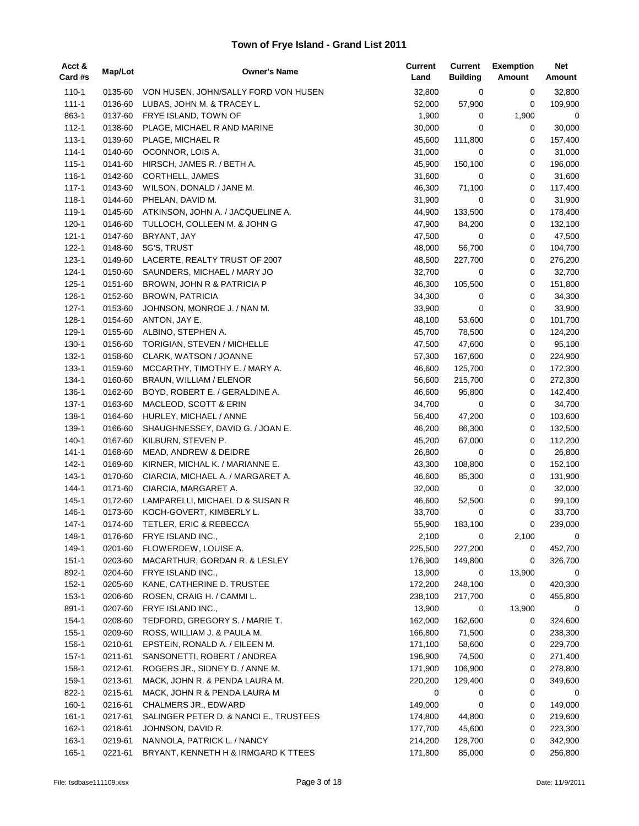| Acct &<br>Card #s | Map/Lot | <b>Owner's Name</b>                    | <b>Current</b><br>Land | <b>Current</b><br><b>Building</b> | <b>Exemption</b><br>Amount | <b>Net</b><br>Amount |
|-------------------|---------|----------------------------------------|------------------------|-----------------------------------|----------------------------|----------------------|
| $110 - 1$         | 0135-60 | VON HUSEN, JOHN/SALLY FORD VON HUSEN   | 32,800                 | 0                                 | 0                          | 32,800               |
| $111 - 1$         | 0136-60 | LUBAS, JOHN M. & TRACEY L.             | 52,000                 | 57,900                            | 0                          | 109,900              |
| 863-1             | 0137-60 | FRYE ISLAND, TOWN OF                   | 1,900                  | 0                                 | 1,900                      | 0                    |
| $112 - 1$         | 0138-60 | PLAGE, MICHAEL R AND MARINE            | 30,000                 | 0                                 | 0                          | 30,000               |
| $113 - 1$         | 0139-60 | PLAGE, MICHAEL R                       | 45,600                 | 111,800                           | 0                          | 157,400              |
| $114 - 1$         | 0140-60 | OCONNOR, LOIS A.                       | 31,000                 | 0                                 | 0                          | 31,000               |
| $115 - 1$         | 0141-60 | HIRSCH, JAMES R. / BETH A.             | 45,900                 | 150,100                           | 0                          | 196,000              |
| $116 - 1$         | 0142-60 | <b>CORTHELL, JAMES</b>                 | 31,600                 | 0                                 | 0                          | 31,600               |
| $117 - 1$         | 0143-60 | WILSON, DONALD / JANE M.               | 46,300                 | 71,100                            | 0                          | 117,400              |
| $118 - 1$         | 0144-60 | PHELAN, DAVID M.                       | 31,900                 | 0                                 | 0                          | 31,900               |
| 119-1             | 0145-60 | ATKINSON, JOHN A. / JACQUELINE A.      | 44,900                 | 133,500                           | 0                          | 178,400              |
| $120 - 1$         | 0146-60 | TULLOCH, COLLEEN M. & JOHN G           | 47,900                 | 84,200                            | 0                          | 132,100              |
| $121 - 1$         | 0147-60 | BRYANT, JAY                            | 47,500                 | 0                                 | 0                          | 47,500               |
| $122 - 1$         | 0148-60 | 5G'S, TRUST                            | 48,000                 | 56,700                            | 0                          | 104,700              |
| $123 - 1$         | 0149-60 | LACERTE, REALTY TRUST OF 2007          | 48,500                 | 227,700                           | 0                          | 276,200              |
| $124 - 1$         | 0150-60 | SAUNDERS, MICHAEL / MARY JO            | 32,700                 | 0                                 | 0                          | 32,700               |
| $125 - 1$         | 0151-60 | BROWN, JOHN R & PATRICIA P             | 46,300                 | 105,500                           | 0                          | 151,800              |
| $126 - 1$         | 0152-60 | <b>BROWN, PATRICIA</b>                 | 34,300                 | 0                                 | 0                          | 34,300               |
| $127 - 1$         | 0153-60 | JOHNSON, MONROE J. / NAN M.            | 33,900                 | 0                                 | 0                          | 33,900               |
| 128-1             | 0154-60 | ANTON, JAY E.                          | 48,100                 | 53,600                            | 0                          | 101,700              |
| 129-1             | 0155-60 | ALBINO, STEPHEN A.                     | 45,700                 | 78,500                            | 0                          | 124,200              |
| $130 - 1$         | 0156-60 | <b>TORIGIAN, STEVEN / MICHELLE</b>     | 47,500                 | 47,600                            | 0                          | 95,100               |
| 132-1             | 0158-60 | CLARK, WATSON / JOANNE                 | 57,300                 | 167,600                           | 0                          | 224,900              |
| 133-1             | 0159-60 | MCCARTHY, TIMOTHY E. / MARY A.         | 46,600                 | 125,700                           | 0                          | 172,300              |
| 134-1             | 0160-60 | BRAUN, WILLIAM / ELENOR                | 56,600                 | 215,700                           | 0                          | 272,300              |
| 136-1             | 0162-60 | BOYD, ROBERT E. / GERALDINE A.         | 46,600                 | 95,800                            | 0                          | 142,400              |
| $137 - 1$         | 0163-60 | MACLEOD, SCOTT & ERIN                  | 34,700                 | 0                                 | 0                          | 34,700               |
| 138-1             | 0164-60 | HURLEY, MICHAEL / ANNE                 | 56,400                 | 47,200                            | 0                          | 103,600              |
| 139-1             | 0166-60 | SHAUGHNESSEY, DAVID G. / JOAN E.       | 46,200                 | 86,300                            | 0                          | 132,500              |
| $140 - 1$         | 0167-60 | KILBURN, STEVEN P.                     | 45,200                 | 67,000                            | 0                          | 112,200              |
| $141 - 1$         | 0168-60 | MEAD, ANDREW & DEIDRE                  | 26,800                 | 0                                 | 0                          | 26,800               |
| $142 - 1$         | 0169-60 | KIRNER, MICHAL K. / MARIANNE E.        | 43,300                 | 108,800                           | 0                          | 152,100              |
| $143 - 1$         | 0170-60 | CIARCIA, MICHAEL A. / MARGARET A.      | 46,600                 | 85,300                            | 0                          | 131,900              |
| 144-1             | 0171-60 | CIARCIA, MARGARET A.                   | 32,000                 | 0                                 | 0                          | 32,000               |
| $145 - 1$         | 0172-60 | LAMPARELLI, MICHAEL D & SUSAN R        | 46,600                 | 52,500                            | 0                          | 99,100               |
| 146-1             | 0173-60 | KOCH-GOVERT, KIMBERLY L.               | 33,700                 | 0                                 | 0                          | 33,700               |
| $147 - 1$         | 0174-60 | <b>TETLER, ERIC &amp; REBECCA</b>      | 55,900                 | 183,100                           | 0                          | 239,000              |
| 148-1             | 0176-60 | FRYE ISLAND INC.,                      | 2,100                  | $\mathbf 0$                       | 2,100                      | 0                    |
| 149-1             | 0201-60 | FLOWERDEW, LOUISE A.                   | 225,500                | 227,200                           | 0                          | 452,700              |
| $151 - 1$         | 0203-60 | MACARTHUR, GORDAN R. & LESLEY          | 176,900                | 149,800                           | 0                          | 326,700              |
| 892-1             | 0204-60 | FRYE ISLAND INC.,                      | 13,900                 | 0                                 | 13,900                     | 0                    |
| $152 - 1$         | 0205-60 | KANE, CATHERINE D. TRUSTEE             | 172,200                | 248,100                           | 0                          | 420,300              |
| $153 - 1$         | 0206-60 | ROSEN, CRAIG H. / CAMMI L.             | 238,100                | 217,700                           | 0                          | 455,800              |
| 891-1             | 0207-60 | FRYE ISLAND INC.,                      | 13,900                 | 0                                 | 13,900                     | 0                    |
| $154 - 1$         | 0208-60 | TEDFORD, GREGORY S. / MARIE T.         | 162,000                | 162,600                           | 0                          | 324,600              |
| $155 - 1$         | 0209-60 | ROSS, WILLIAM J. & PAULA M.            | 166,800                | 71,500                            | 0                          | 238,300              |
| 156-1             | 0210-61 | EPSTEIN, RONALD A. / EILEEN M.         | 171,100                | 58,600                            | 0                          | 229,700              |
| $157 - 1$         | 0211-61 | SANSONETTI, ROBERT / ANDREA            | 196,900                | 74,500                            | 0                          | 271,400              |
| 158-1             | 0212-61 | ROGERS JR., SIDNEY D. / ANNE M.        | 171,900                | 106,900                           | 0                          | 278,800              |
| 159-1             | 0213-61 | MACK, JOHN R. & PENDA LAURA M.         | 220,200                | 129,400                           | 0                          | 349,600              |
| 822-1             | 0215-61 | MACK, JOHN R & PENDA LAURA M           | 0                      | 0                                 | 0                          | 0                    |
| $160 - 1$         | 0216-61 | CHALMERS JR., EDWARD                   | 149,000                | 0                                 | 0                          | 149,000              |
| 161-1             | 0217-61 | SALINGER PETER D. & NANCI E., TRUSTEES | 174,800                | 44,800                            | 0                          | 219,600              |
| 162-1             | 0218-61 | JOHNSON, DAVID R.                      | 177,700                | 45,600                            | 0                          | 223,300              |
| 163-1             | 0219-61 | NANNOLA, PATRICK L. / NANCY            | 214,200                | 128,700                           | 0                          | 342,900              |
| 165-1             | 0221-61 | BRYANT, KENNETH H & IRMGARD K TTEES    | 171,800                | 85,000                            | 0                          | 256,800              |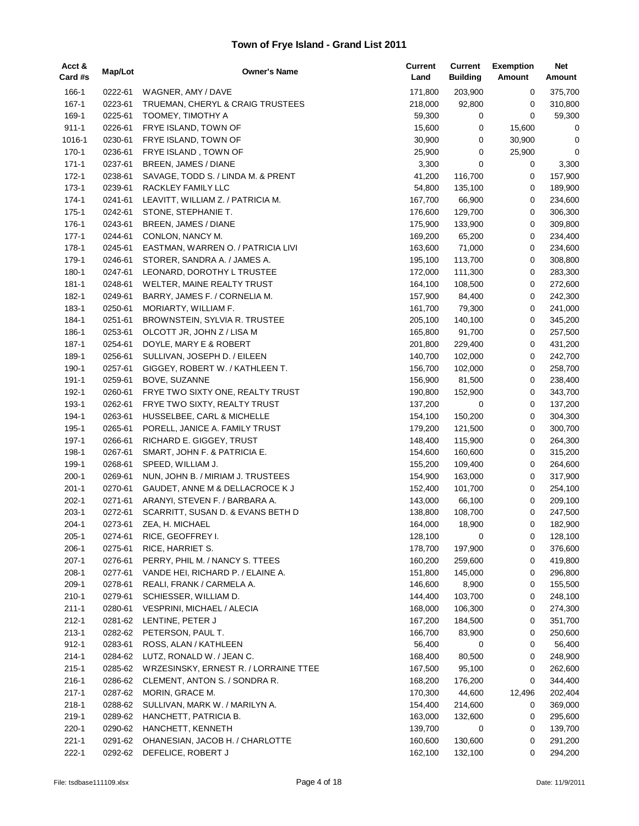| Acct &<br>Card #s | Map/Lot | <b>Owner's Name</b>                   | <b>Current</b><br>Land | Current<br><b>Building</b> | <b>Exemption</b><br>Amount | <b>Net</b><br>Amount |
|-------------------|---------|---------------------------------------|------------------------|----------------------------|----------------------------|----------------------|
| 166-1             | 0222-61 | WAGNER, AMY / DAVE                    | 171,800                | 203,900                    | 0                          | 375,700              |
| $167-1$           | 0223-61 | TRUEMAN, CHERYL & CRAIG TRUSTEES      | 218,000                | 92,800                     | 0                          | 310,800              |
| 169-1             | 0225-61 | TOOMEY, TIMOTHY A                     | 59,300                 | 0                          | 0                          | 59,300               |
| $911 - 1$         | 0226-61 | FRYE ISLAND, TOWN OF                  | 15,600                 | 0                          | 15,600                     | 0                    |
| 1016-1            | 0230-61 | FRYE ISLAND, TOWN OF                  | 30,900                 | 0                          | 30,900                     | 0                    |
| $170-1$           | 0236-61 | FRYE ISLAND, TOWN OF                  | 25,900                 | 0                          | 25,900                     | 0                    |
| $171 - 1$         | 0237-61 | BREEN, JAMES / DIANE                  | 3,300                  | 0                          | 0                          | 3,300                |
| 172-1             | 0238-61 | SAVAGE, TODD S. / LINDA M. & PRENT    | 41,200                 | 116,700                    | 0                          | 157,900              |
| 173-1             | 0239-61 | RACKLEY FAMILY LLC                    | 54,800                 | 135,100                    | 0                          | 189,900              |
| 174-1             | 0241-61 | LEAVITT, WILLIAM Z. / PATRICIA M.     | 167,700                | 66,900                     | 0                          | 234,600              |
| $175 - 1$         | 0242-61 | STONE, STEPHANIE T.                   | 176,600                | 129,700                    | 0                          | 306,300              |
| 176-1             | 0243-61 | BREEN, JAMES / DIANE                  | 175,900                | 133,900                    | 0                          | 309,800              |
| $177 - 1$         | 0244-61 | CONLON, NANCY M.                      | 169,200                | 65,200                     | 0                          | 234,400              |
| 178-1             | 0245-61 | EASTMAN, WARREN O. / PATRICIA LIVI    | 163,600                | 71,000                     | 0                          | 234,600              |
| 179-1             | 0246-61 | STORER, SANDRA A. / JAMES A.          | 195,100                | 113,700                    | 0                          | 308,800              |
| 180-1             | 0247-61 | LEONARD, DOROTHY L TRUSTEE            | 172,000                | 111,300                    | 0                          | 283,300              |
| $181 - 1$         | 0248-61 | WELTER, MAINE REALTY TRUST            | 164,100                | 108,500                    | 0                          | 272,600              |
| 182-1             | 0249-61 | BARRY, JAMES F. / CORNELIA M.         | 157,900                | 84,400                     | 0                          | 242,300              |
| 183-1             | 0250-61 | MORIARTY, WILLIAM F.                  | 161,700                | 79,300                     | 0                          | 241,000              |
| 184-1             | 0251-61 | BROWNSTEIN, SYLVIA R. TRUSTEE         | 205,100                | 140,100                    | 0                          | 345,200              |
| 186-1             | 0253-61 | OLCOTT JR, JOHN Z / LISA M            | 165,800                | 91,700                     | 0                          | 257,500              |
| 187-1             | 0254-61 | DOYLE, MARY E & ROBERT                | 201,800                | 229,400                    | 0                          | 431,200              |
| 189-1             | 0256-61 | SULLIVAN, JOSEPH D. / EILEEN          | 140,700                | 102,000                    | 0                          | 242,700              |
| 190-1             | 0257-61 | GIGGEY, ROBERT W. / KATHLEEN T.       | 156,700                | 102,000                    | 0                          | 258,700              |
| 191-1             | 0259-61 | BOVE, SUZANNE                         | 156,900                | 81,500                     | 0                          | 238,400              |
| 192-1             | 0260-61 | FRYE TWO SIXTY ONE, REALTY TRUST      | 190,800                | 152,900                    | 0                          | 343,700              |
| 193-1             | 0262-61 | FRYE TWO SIXTY, REALTY TRUST          | 137,200                | 0                          | 0                          | 137,200              |
| 194-1             | 0263-61 | HUSSELBEE, CARL & MICHELLE            | 154,100                | 150,200                    | 0                          | 304,300              |
| 195-1             | 0265-61 | PORELL, JANICE A. FAMILY TRUST        | 179,200                | 121,500                    | 0                          | 300,700              |
| 197-1             | 0266-61 | RICHARD E. GIGGEY, TRUST              | 148,400                | 115,900                    | 0                          | 264,300              |
| 198-1             | 0267-61 | SMART, JOHN F. & PATRICIA E.          | 154,600                | 160,600                    | 0                          | 315,200              |
| 199-1             | 0268-61 | SPEED, WILLIAM J.                     | 155,200                | 109,400                    | 0                          | 264,600              |
| $200-1$           | 0269-61 | NUN, JOHN B. / MIRIAM J. TRUSTEES     | 154,900                | 163,000                    | 0                          | 317,900              |
| $201 - 1$         | 0270-61 | GAUDET, ANNE M & DELLACROCE K J       | 152,400                | 101,700                    | 0                          | 254,100              |
| $202 - 1$         | 0271-61 | ARANYI, STEVEN F. / BARBARA A.        | 143,000                | 66,100                     | 0                          | 209,100              |
| $203-1$           | 0272-61 | SCARRITT, SUSAN D. & EVANS BETH D     | 138,800                | 108,700                    | 0                          | 247,500              |
| 204-1             | 0273-61 | ZEA, H. MICHAEL                       | 164,000                | 18,900                     | 0                          | 182,900              |
| $205-1$           | 0274-61 | RICE, GEOFFREY I.                     | 128,100                | 0                          | 0                          | 128,100              |
| $206-1$           | 0275-61 | RICE, HARRIET S.                      | 178,700                | 197,900                    | 0                          | 376,600              |
| $207-1$           | 0276-61 | PERRY, PHIL M. / NANCY S. TTEES       | 160,200                | 259,600                    | 0                          | 419,800              |
| $208-1$           | 0277-61 | VANDE HEI, RICHARD P. / ELAINE A.     | 151,800                | 145,000                    | 0                          | 296,800              |
| $209-1$           | 0278-61 | REALI, FRANK / CARMELA A.             | 146,600                | 8,900                      | 0                          | 155,500              |
| $210 - 1$         | 0279-61 | SCHIESSER, WILLIAM D.                 | 144,400                | 103,700                    | 0                          | 248,100              |
| $211 - 1$         | 0280-61 | <b>VESPRINI, MICHAEL / ALECIA</b>     | 168,000                | 106,300                    | 0                          | 274,300              |
| $212 - 1$         | 0281-62 | LENTINE, PETER J                      | 167,200                | 184,500                    | 0                          | 351,700              |
| $213 - 1$         | 0282-62 | PETERSON, PAUL T.                     | 166,700                | 83,900                     | 0                          | 250,600              |
| 912-1             | 0283-61 | ROSS, ALAN / KATHLEEN                 | 56,400                 | 0                          | 0                          | 56,400               |
| 214-1             | 0284-62 | LUTZ, RONALD W. / JEAN C.             | 168,400                | 80,500                     | 0                          | 248,900              |
| $215 - 1$         | 0285-62 | WRZESINSKY, ERNEST R. / LORRAINE TTEE | 167,500                | 95,100                     | 0                          | 262,600              |
| $216 - 1$         | 0286-62 | CLEMENT, ANTON S. / SONDRA R.         | 168,200                | 176,200                    | 0                          | 344,400              |
| $217 - 1$         | 0287-62 | MORIN, GRACE M.                       | 170,300                | 44,600                     | 12,496                     | 202,404              |
| 218-1             | 0288-62 | SULLIVAN, MARK W. / MARILYN A.        | 154,400                | 214,600                    | 0                          | 369,000              |
| 219-1             | 0289-62 | HANCHETT, PATRICIA B.                 | 163,000                | 132,600                    | 0                          | 295,600              |
| 220-1             | 0290-62 | HANCHETT, KENNETH                     | 139,700                | 0                          | 0                          | 139,700              |
| $221 - 1$         | 0291-62 | OHANESIAN, JACOB H. / CHARLOTTE       | 160,600                | 130,600                    | 0                          | 291,200              |
| 222-1             | 0292-62 | DEFELICE, ROBERT J                    | 162,100                | 132,100                    | 0                          | 294,200              |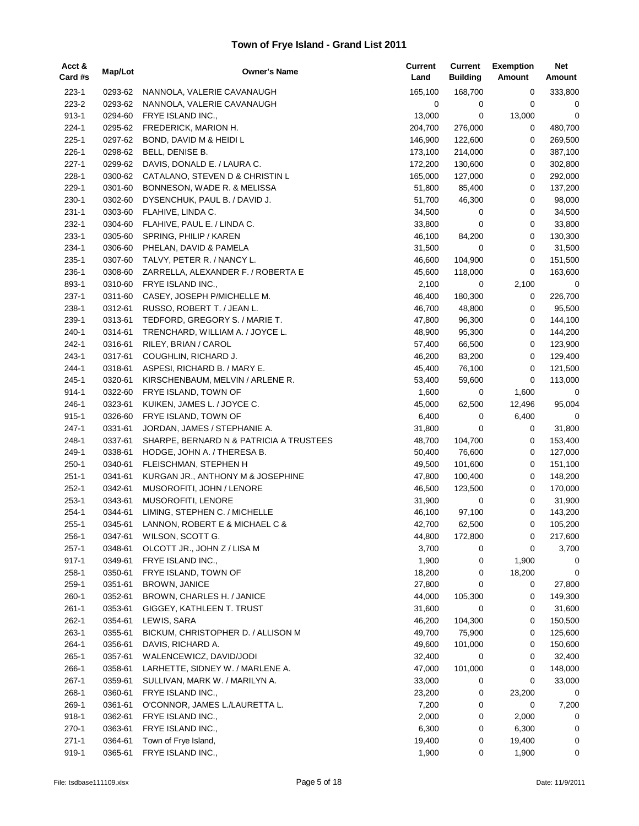| Acct &<br>Card #s | Map/Lot | <b>Owner's Name</b>                     | Current<br>Land | Current<br><b>Building</b> | <b>Exemption</b><br>Amount | <b>Net</b><br>Amount |
|-------------------|---------|-----------------------------------------|-----------------|----------------------------|----------------------------|----------------------|
| 223-1             | 0293-62 | NANNOLA, VALERIE CAVANAUGH              | 165,100         | 168,700                    | 0                          | 333,800              |
| 223-2             | 0293-62 | NANNOLA, VALERIE CAVANAUGH              | 0               | 0                          | 0                          | 0                    |
| $913 - 1$         | 0294-60 | FRYE ISLAND INC.,                       | 13,000          | 0                          | 13,000                     | 0                    |
| 224-1             | 0295-62 | FREDERICK, MARION H.                    | 204,700         | 276,000                    | 0                          | 480,700              |
| $225 - 1$         | 0297-62 | BOND, DAVID M & HEIDI L                 | 146,900         | 122,600                    | 0                          | 269,500              |
| 226-1             | 0298-62 | BELL, DENISE B.                         | 173,100         | 214,000                    | 0                          | 387,100              |
| 227-1             | 0299-62 | DAVIS, DONALD E. / LAURA C.             | 172,200         | 130,600                    | 0                          | 302,800              |
| $228 - 1$         | 0300-62 | CATALANO, STEVEN D & CHRISTIN L         | 165,000         | 127,000                    | 0                          | 292,000              |
| 229-1             | 0301-60 | BONNESON, WADE R. & MELISSA             | 51,800          | 85,400                     | 0                          | 137,200              |
| $230-1$           | 0302-60 | DYSENCHUK, PAUL B. / DAVID J.           | 51,700          | 46,300                     | 0                          | 98,000               |
| $231 - 1$         | 0303-60 | FLAHIVE, LINDA C.                       | 34,500          | 0                          | 0                          | 34,500               |
| 232-1             | 0304-60 | FLAHIVE, PAUL E. / LINDA C.             | 33,800          | 0                          | 0                          | 33,800               |
| 233-1             | 0305-60 | SPRING, PHILIP / KAREN                  | 46,100          | 84,200                     | 0                          | 130,300              |
| 234-1             | 0306-60 | PHELAN, DAVID & PAMELA                  | 31,500          | 0                          | 0                          | 31,500               |
| 235-1             | 0307-60 | TALVY, PETER R. / NANCY L.              | 46,600          | 104,900                    | 0                          | 151,500              |
| 236-1             | 0308-60 | ZARRELLA, ALEXANDER F. / ROBERTA E      | 45,600          | 118,000                    | 0                          | 163,600              |
| 893-1             | 0310-60 | FRYE ISLAND INC.,                       | 2,100           | 0                          | 2,100                      | 0                    |
| 237-1             | 0311-60 | CASEY, JOSEPH P/MICHELLE M.             | 46,400          | 180,300                    | 0                          | 226,700              |
| 238-1             | 0312-61 | RUSSO, ROBERT T. / JEAN L.              | 46,700          | 48,800                     | 0                          | 95,500               |
| 239-1             | 0313-61 | TEDFORD, GREGORY S. / MARIE T.          | 47,800          | 96,300                     | 0                          | 144,100              |
| $240 - 1$         | 0314-61 | TRENCHARD, WILLIAM A. / JOYCE L.        | 48,900          | 95,300                     | 0                          | 144,200              |
| $242 - 1$         | 0316-61 | RILEY, BRIAN / CAROL                    | 57,400          | 66,500                     | 0                          | 123,900              |
| $243 - 1$         | 0317-61 | COUGHLIN, RICHARD J.                    | 46,200          | 83,200                     | 0                          | 129,400              |
| $244 - 1$         | 0318-61 | ASPESI, RICHARD B. / MARY E.            | 45,400          | 76,100                     | 0                          | 121,500              |
| $245 - 1$         | 0320-61 | KIRSCHENBAUM, MELVIN / ARLENE R.        | 53,400          | 59,600                     | 0                          | 113,000              |
| 914-1             | 0322-60 | FRYE ISLAND, TOWN OF                    | 1,600           | 0                          | 1,600                      | 0                    |
| 246-1             | 0323-61 | KUIKEN, JAMES L. / JOYCE C.             | 45,000          | 62,500                     | 12,496                     | 95,004               |
| $915 - 1$         | 0326-60 | FRYE ISLAND, TOWN OF                    | 6,400           | 0                          | 6,400                      | 0                    |
| 247-1             | 0331-61 | JORDAN, JAMES / STEPHANIE A.            | 31,800          | 0                          | 0                          | 31,800               |
| 248-1             | 0337-61 | SHARPE, BERNARD N & PATRICIA A TRUSTEES | 48,700          | 104,700                    | 0                          | 153,400              |
| 249-1             | 0338-61 | HODGE, JOHN A. / THERESA B.             | 50,400          | 76,600                     | 0                          | 127,000              |
| $250-1$           | 0340-61 | FLEISCHMAN, STEPHEN H                   | 49,500          | 101,600                    | 0                          | 151,100              |
| $251 - 1$         | 0341-61 | KURGAN JR., ANTHONY M & JOSEPHINE       | 47,800          | 100,400                    | 0                          | 148,200              |
| $252 - 1$         | 0342-61 | MUSOROFITI, JOHN / LENORE               | 46,500          | 123,500                    | 0                          | 170,000              |
| $253 - 1$         | 0343-61 | MUSOROFITI, LENORE                      | 31,900          | 0                          | 0                          | 31,900               |
| $254 - 1$         | 0344-61 | LIMING, STEPHEN C. / MICHELLE           | 46,100          | 97,100                     | 0                          | 143,200              |
| $255 - 1$         | 0345-61 | LANNON, ROBERT E & MICHAEL C &          | 42,700          | 62,500                     | 0                          | 105,200              |
| 256-1             | 0347-61 | WILSON, SCOTT G.                        | 44,800          | 172,800                    | 0                          | 217,600              |
| $257 - 1$         | 0348-61 | OLCOTT JR., JOHN Z / LISA M             | 3,700           | 0                          | 0                          | 3,700                |
| $917 - 1$         | 0349-61 | FRYE ISLAND INC.,                       | 1,900           | 0                          | 1,900                      | 0                    |
| $258-1$           | 0350-61 | FRYE ISLAND, TOWN OF                    | 18,200          | 0                          | 18,200                     | 0                    |
| 259-1             | 0351-61 | <b>BROWN, JANICE</b>                    | 27,800          | 0                          | 0                          | 27,800               |
| 260-1             | 0352-61 | BROWN, CHARLES H. / JANICE              | 44,000          | 105,300                    | 0                          | 149,300              |
| $261 - 1$         | 0353-61 | GIGGEY, KATHLEEN T. TRUST               | 31,600          | 0                          | 0                          | 31,600               |
| $262 - 1$         | 0354-61 | LEWIS, SARA                             | 46,200          | 104,300                    | 0                          | 150,500              |
| 263-1             | 0355-61 | BICKUM, CHRISTOPHER D. / ALLISON M      | 49,700          | 75,900                     | 0                          | 125,600              |
| 264-1             | 0356-61 | DAVIS, RICHARD A.                       | 49,600          | 101,000                    | 0                          | 150,600              |
| $265-1$           | 0357-61 | WALENCEWICZ, DAVID/JODI                 | 32,400          | 0                          | 0                          | 32,400               |
| 266-1             | 0358-61 | LARHETTE, SIDNEY W. / MARLENE A.        | 47,000          | 101,000                    | 0                          | 148,000              |
| $267-1$           | 0359-61 | SULLIVAN, MARK W. / MARILYN A.          | 33,000          | 0                          | 0                          | 33,000               |
| 268-1             | 0360-61 | FRYE ISLAND INC.,                       | 23,200          | 0                          | 23,200                     | 0                    |
| 269-1             | 0361-61 | O'CONNOR, JAMES L./LAURETTA L.          | 7,200           | 0                          | 0                          | 7,200                |
| 918-1             | 0362-61 | FRYE ISLAND INC.,                       | 2,000           | 0                          | 2,000                      | 0                    |
| $270-1$           | 0363-61 | FRYE ISLAND INC.,                       | 6,300           | 0                          | 6,300                      | 0                    |
| $271 - 1$         | 0364-61 | Town of Frye Island,                    | 19,400          | 0                          | 19,400                     | 0                    |
| 919-1             | 0365-61 | FRYE ISLAND INC.,                       | 1,900           | 0                          | 1,900                      | 0                    |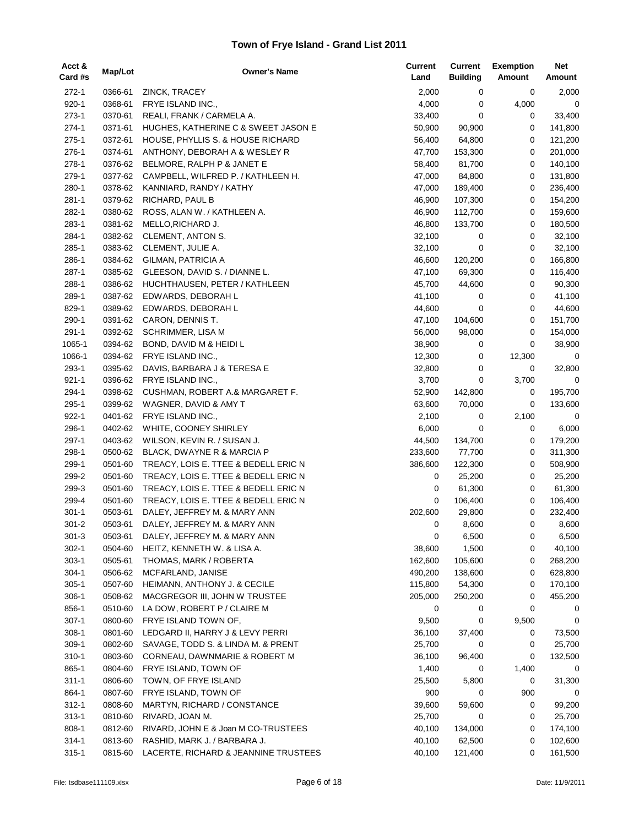| Acct &<br>Card #s | Map/Lot            | <b>Owner's Name</b>                  | Current<br>Land  | Current<br><b>Building</b> | <b>Exemption</b><br>Amount | <b>Net</b><br>Amount |
|-------------------|--------------------|--------------------------------------|------------------|----------------------------|----------------------------|----------------------|
| 272-1             | 0366-61            | ZINCK, TRACEY                        | 2,000            | 0                          | $\mathbf 0$                | 2,000                |
| $920 - 1$         | 0368-61            | FRYE ISLAND INC.,                    | 4,000            | 0                          | 4,000                      | 0                    |
| 273-1             | 0370-61            | REALI, FRANK / CARMELA A.            | 33,400           | 0                          | 0                          | 33,400               |
| 274-1             | 0371-61            | HUGHES, KATHERINE C & SWEET JASON E  | 50,900           | 90,900                     | 0                          | 141,800              |
| 275-1             | 0372-61            | HOUSE, PHYLLIS S. & HOUSE RICHARD    | 56,400           | 64,800                     | 0                          | 121,200              |
| 276-1             | 0374-61            | ANTHONY, DEBORAH A & WESLEY R        | 47,700           | 153,300                    | 0                          | 201,000              |
| 278-1             | 0376-62            | BELMORE, RALPH P & JANET E           | 58,400           | 81,700                     | 0                          | 140,100              |
| 279-1             | 0377-62            | CAMPBELL, WILFRED P. / KATHLEEN H.   | 47,000           | 84,800                     | 0                          | 131,800              |
| 280-1             | 0378-62            | KANNIARD, RANDY / KATHY              | 47,000           | 189,400                    | 0                          | 236,400              |
| 281-1             | 0379-62            | RICHARD, PAUL B                      | 46,900           | 107,300                    | 0                          | 154,200              |
| 282-1             | 0380-62            | ROSS, ALAN W. / KATHLEEN A.          | 46,900           | 112,700                    | 0                          | 159,600              |
| 283-1             | 0381-62            | MELLO, RICHARD J.                    | 46,800           | 133,700                    | 0                          | 180,500              |
| 284-1             | 0382-62            | CLEMENT, ANTON S.                    | 32,100           | 0                          | 0                          | 32,100               |
| 285-1             | 0383-62            | CLEMENT, JULIE A.                    | 32,100           | 0                          | 0                          | 32,100               |
| 286-1             | 0384-62            | GILMAN, PATRICIA A                   | 46,600           | 120,200                    | 0                          | 166,800              |
| 287-1             | 0385-62            | GLEESON, DAVID S. / DIANNE L.        | 47,100           | 69,300                     | 0                          | 116,400              |
| 288-1             | 0386-62            | HUCHTHAUSEN, PETER / KATHLEEN        | 45,700           | 44,600                     | 0                          | 90,300               |
| 289-1             | 0387-62            | EDWARDS, DEBORAH L                   | 41,100           | 0                          | 0                          | 41,100               |
| 829-1             | 0389-62            |                                      |                  | 0                          | 0                          |                      |
| $290-1$           |                    | EDWARDS, DEBORAH L                   | 44,600<br>47,100 |                            | 0                          | 44,600               |
| $291 - 1$         | 0391-62<br>0392-62 | CARON, DENNIS T.                     |                  | 104,600                    | 0                          | 151,700              |
|                   |                    | <b>SCHRIMMER, LISA M</b>             | 56,000           | 98,000                     |                            | 154,000              |
| 1065-1            | 0394-62            | BOND, DAVID M & HEIDI L              | 38,900           | 0                          | 0                          | 38,900               |
| 1066-1            | 0394-62            | FRYE ISLAND INC.,                    | 12,300           | 0                          | 12,300                     | 0                    |
| 293-1             | 0395-62            | DAVIS, BARBARA J & TERESA E          | 32,800           | 0                          | 0                          | 32,800               |
| $921 - 1$         | 0396-62            | FRYE ISLAND INC.,                    | 3,700            | 0                          | 3,700                      | 0                    |
| 294-1             | 0398-62            | CUSHMAN, ROBERT A.& MARGARET F.      | 52,900           | 142,800                    | 0                          | 195,700              |
| 295-1             | 0399-62            | WAGNER, DAVID & AMY T                | 63,600           | 70,000                     | 0                          | 133,600              |
| $922 - 1$         | 0401-62            | FRYE ISLAND INC.,                    | 2,100            | 0                          | 2,100                      | 0                    |
| 296-1             | 0402-62            | WHITE, COONEY SHIRLEY                | 6,000            | 0                          | 0                          | 6,000                |
| 297-1             | 0403-62            | WILSON, KEVIN R. / SUSAN J.          | 44,500           | 134,700                    | 0                          | 179,200              |
| 298-1             | 0500-62            | BLACK, DWAYNE R & MARCIA P           | 233,600          | 77,700                     | 0                          | 311,300              |
| 299-1             | 0501-60            | TREACY, LOIS E. TTEE & BEDELL ERIC N | 386,600          | 122,300                    | 0                          | 508,900              |
| 299-2             | 0501-60            | TREACY, LOIS E. TTEE & BEDELL ERIC N | 0                | 25,200                     | 0                          | 25,200               |
| 299-3             | 0501-60            | TREACY, LOIS E. TTEE & BEDELL ERIC N | 0                | 61,300                     | 0                          | 61,300               |
| 299-4             | 0501-60            | TREACY, LOIS E. TTEE & BEDELL ERIC N | 0                | 106,400                    | 0                          | 106,400              |
| $301 - 1$         | 0503-61            | DALEY, JEFFREY M. & MARY ANN         | 202,600          | 29,800                     | 0                          | 232,400              |
| $301 - 2$         | 0503-61            | DALEY, JEFFREY M. & MARY ANN         | 0                | 8,600                      | 0                          | 8,600                |
| $301 - 3$         | 0503-61            | DALEY, JEFFREY M. & MARY ANN         | 0                | 6,500                      | 0                          | 6,500                |
| $302 - 1$         | 0504-60            | HEITZ, KENNETH W. & LISA A.          | 38,600           | 1,500                      | 0                          | 40,100               |
| $303-1$           | 0505-61            | THOMAS, MARK / ROBERTA               | 162,600          | 105,600                    | 0                          | 268,200              |
| $304 - 1$         | 0506-62            | MCFARLAND, JANISE                    | 490,200          | 138,600                    | 0                          | 628,800              |
| $305 - 1$         | 0507-60            | HEIMANN, ANTHONY J. & CECILE         | 115,800          | 54,300                     | 0                          | 170,100              |
| $306-1$           | 0508-62            | MACGREGOR III, JOHN W TRUSTEE        | 205,000          | 250,200                    | 0                          | 455,200              |
| 856-1             | 0510-60            | LA DOW, ROBERT P / CLAIRE M          | 0                | 0                          | 0                          | 0                    |
| $307-1$           | 0800-60            | FRYE ISLAND TOWN OF,                 | 9,500            | 0                          | 9,500                      | 0                    |
| $308-1$           | 0801-60            | LEDGARD II, HARRY J & LEVY PERRI     | 36,100           | 37,400                     | 0                          | 73,500               |
| $309-1$           | 0802-60            | SAVAGE, TODD S. & LINDA M. & PRENT   | 25,700           | 0                          | 0                          | 25,700               |
| $310 - 1$         | 0803-60            | CORNEAU, DAWNMARIE & ROBERT M        | 36,100           | 96,400                     | 0                          | 132,500              |
| 865-1             | 0804-60            | FRYE ISLAND, TOWN OF                 | 1,400            | 0                          | 1,400                      | 0                    |
| $311 - 1$         | 0806-60            | TOWN, OF FRYE ISLAND                 | 25,500           | 5,800                      | 0                          | 31,300               |
| 864-1             | 0807-60            | FRYE ISLAND, TOWN OF                 | 900              | 0                          | 900                        | 0                    |
| $312 - 1$         | 0808-60            | MARTYN, RICHARD / CONSTANCE          | 39,600           | 59,600                     | 0                          | 99,200               |
| $313 - 1$         | 0810-60            | RIVARD, JOAN M.                      | 25,700           | 0                          | 0                          | 25,700               |
| 808-1             | 0812-60            | RIVARD, JOHN E & Joan M CO-TRUSTEES  | 40,100           | 134,000                    | 0                          | 174,100              |
| $314 - 1$         | 0813-60            | RASHID, MARK J. / BARBARA J.         | 40,100           | 62,500                     | 0                          | 102,600              |
| $315 - 1$         | 0815-60            | LACERTE, RICHARD & JEANNINE TRUSTEES | 40,100           | 121,400                    | 0                          | 161,500              |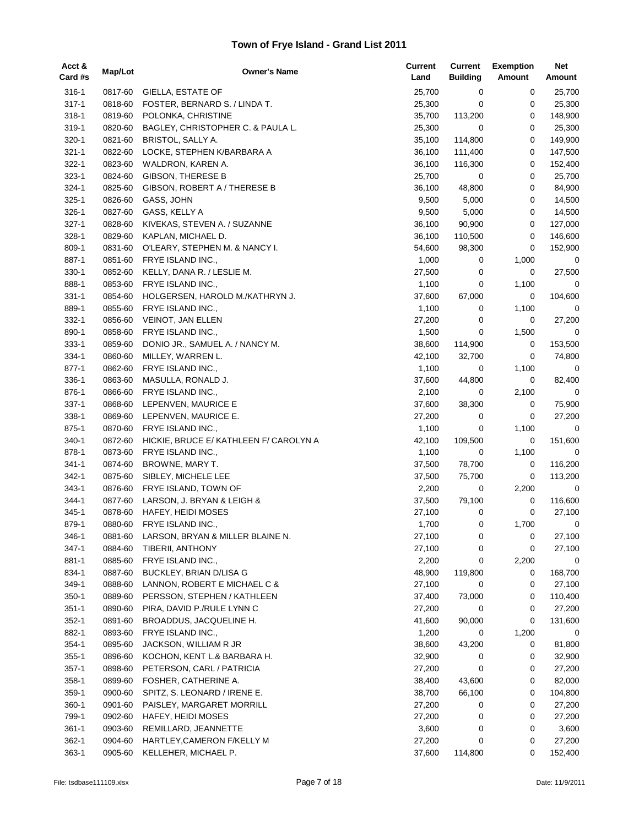| Acct &<br>Card #s      | Map/Lot            | <b>Owner's Name</b>                                       | Current<br>Land  | Current<br><b>Building</b> | <b>Exemption</b><br>Amount | <b>Net</b><br>Amount |
|------------------------|--------------------|-----------------------------------------------------------|------------------|----------------------------|----------------------------|----------------------|
| $316 - 1$              | 0817-60            | GIELLA, ESTATE OF                                         | 25,700           | 0                          | 0                          | 25,700               |
| $317 - 1$              | 0818-60            | FOSTER, BERNARD S. / LINDA T.                             | 25,300           | 0                          | 0                          | 25,300               |
| $318 - 1$              | 0819-60            | POLONKA, CHRISTINE                                        | 35,700           | 113,200                    | 0                          | 148,900              |
| 319-1                  | 0820-60            | BAGLEY, CHRISTOPHER C. & PAULA L.                         | 25,300           | 0                          | 0                          | 25,300               |
| $320-1$                | 0821-60            | BRISTOL, SALLY A.                                         | 35,100           | 114,800                    | 0                          | 149,900              |
| $321 - 1$              | 0822-60            | LOCKE, STEPHEN K/BARBARA A                                | 36,100           | 111,400                    | 0                          | 147,500              |
| $322 - 1$              | 0823-60            | WALDRON, KAREN A.                                         | 36,100           | 116,300                    | 0                          | 152,400              |
| $323 - 1$              | 0824-60            | GIBSON, THERESE B                                         | 25,700           | 0                          | 0                          | 25,700               |
| 324-1                  | 0825-60            | GIBSON, ROBERT A / THERESE B                              | 36,100           | 48,800                     | 0                          | 84,900               |
| $325 - 1$              | 0826-60            | GASS, JOHN                                                | 9,500            | 5,000                      | 0                          | 14,500               |
| $326-1$                | 0827-60            | GASS, KELLY A                                             | 9,500            | 5,000                      | 0                          | 14,500               |
| $327 - 1$              | 0828-60            | KIVEKAS, STEVEN A. / SUZANNE                              | 36,100           | 90,900                     | 0                          | 127,000              |
| $328-1$                | 0829-60            | KAPLAN, MICHAEL D.                                        | 36,100           | 110,500                    | 0                          | 146,600              |
| 809-1                  | 0831-60            | O'LEARY, STEPHEN M. & NANCY I.                            | 54,600           | 98,300                     | 0                          | 152,900              |
| 887-1                  | 0851-60            | FRYE ISLAND INC.,                                         | 1,000            | 0                          | 1,000                      | 0                    |
| $330-1$                | 0852-60            | KELLY, DANA R. / LESLIE M.                                | 27,500           | 0                          | 0                          | 27,500               |
| 888-1                  | 0853-60            | FRYE ISLAND INC.,                                         | 1,100            | 0                          | 1,100                      | 0                    |
| $331 - 1$              | 0854-60            | HOLGERSEN, HAROLD M./KATHRYN J.                           | 37,600           | 67,000                     | 0                          | 104,600              |
| 889-1                  | 0855-60            | FRYE ISLAND INC.,                                         | 1,100            | 0                          | 1,100                      | 0                    |
| $332 - 1$              | 0856-60            | VEINOT, JAN ELLEN                                         | 27,200           | 0                          | 0                          | 27,200               |
| 890-1                  | 0858-60            | FRYE ISLAND INC.,                                         | 1,500            | 0                          | 1,500                      | 0                    |
| $333 - 1$              | 0859-60            | DONIO JR., SAMUEL A. / NANCY M.                           | 38,600           | 114,900                    | 0                          | 153,500              |
| 334-1                  | 0860-60            | MILLEY, WARREN L.                                         | 42,100           | 32,700                     | 0                          | 74,800               |
| $877 - 1$              | 0862-60            | FRYE ISLAND INC.,                                         | 1,100            | 0                          | 1,100                      | 0                    |
| $336-1$                | 0863-60            | MASULLA, RONALD J.                                        | 37,600           | 44,800                     | 0                          | 82,400               |
| 876-1                  | 0866-60            | FRYE ISLAND INC.,                                         | 2,100            | 0                          | 2,100                      | 0                    |
| $337-1$                | 0868-60            | LEPENVEN, MAURICE E                                       | 37,600           | 38,300                     | 0                          | 75,900               |
| $338-1$                | 0869-60            | LEPENVEN, MAURICE E.                                      | 27,200           | 0                          | 0                          | 27,200               |
| 875-1                  | 0870-60            | FRYE ISLAND INC.,                                         | 1,100            | 0                          | 1,100                      | 0                    |
| $340-1$                | 0872-60            | HICKIE, BRUCE E/ KATHLEEN F/ CAROLYN A                    | 42,100           | 109,500                    | 0                          | 151,600              |
| 878-1                  | 0873-60            | FRYE ISLAND INC.,                                         | 1,100            | 0                          | 1,100                      | 0                    |
| $341 - 1$              | 0874-60            | BROWNE, MARY T.                                           | 37,500           | 78,700                     | 0                          | 116,200              |
| 342-1                  | 0875-60            | SIBLEY, MICHELE LEE                                       | 37,500           | 75,700                     | 0                          | 113,200              |
| $343 - 1$              | 0876-60            | FRYE ISLAND, TOWN OF                                      | 2,200            | 0                          | 2,200                      | 0                    |
| 344-1                  | 0877-60            | LARSON, J. BRYAN & LEIGH &                                | 37,500           | 79,100                     | 0                          | 116,600              |
| $345 - 1$              | 0878-60            | HAFEY, HEIDI MOSES                                        | 27,100           | 0                          | 0                          | 27,100               |
| 879-1                  | 0880-60            | FRYE ISLAND INC.,                                         | 1,700            | 0                          | 1,700                      | 0                    |
| 346-1                  | 0881-60            | LARSON, BRYAN & MILLER BLAINE N.                          | 27,100           | 0                          | 0                          | 27,100               |
| $347 - 1$              | 0884-60            | TIBERII, ANTHONY                                          | 27,100           | 0                          | 0                          | 27,100               |
| 881-1                  | 0885-60            | FRYE ISLAND INC.,                                         | 2,200            | 0                          | 2,200                      | 0                    |
| 834-1                  | 0887-60            | BUCKLEY, BRIAN D/LISA G                                   | 48,900           | 119,800                    | 0                          | 168,700              |
| 349-1                  | 0888-60            | LANNON, ROBERT E MICHAEL C &                              | 27,100           | 0                          | 0                          | 27,100               |
| $350-1$                | 0889-60            | PERSSON, STEPHEN / KATHLEEN                               | 37,400           | 73,000                     | 0                          | 110,400              |
| $351 - 1$              | 0890-60            | PIRA, DAVID P./RULE LYNN C                                | 27,200           | 0                          | 0                          | 27,200               |
| $352 - 1$              | 0891-60            | BROADDUS, JACQUELINE H.                                   | 41,600           | 90,000                     | 0                          | 131,600              |
| 882-1                  | 0893-60            | FRYE ISLAND INC.,                                         | 1,200            | 0                          | 1,200                      | 0                    |
| $354 - 1$              | 0895-60            | JACKSON, WILLIAM R JR                                     | 38,600           | 43,200                     | 0                          | 81,800               |
| $355 - 1$              | 0896-60            | KOCHON, KENT L.& BARBARA H.                               | 32,900           | 0                          | 0                          | 32,900               |
| $357 - 1$              | 0898-60            | PETERSON, CARL / PATRICIA                                 | 27,200           | 0                          | 0                          | 27,200               |
| 358-1                  | 0899-60            | FOSHER, CATHERINE A.                                      | 38,400           | 43,600                     | 0                          | 82,000               |
|                        |                    |                                                           |                  |                            |                            |                      |
| $359-1$<br>$360-1$     | 0900-60<br>0901-60 | SPITZ, S. LEONARD / IRENE E.<br>PAISLEY, MARGARET MORRILL | 38,700<br>27,200 | 66,100<br>0                | 0<br>0                     | 104,800<br>27,200    |
| 799-1                  | 0902-60            | HAFEY, HEIDI MOSES                                        | 27,200           | 0                          | 0                          | 27,200               |
|                        |                    |                                                           |                  |                            | 0                          |                      |
| $361 - 1$<br>$362 - 1$ | 0903-60<br>0904-60 | REMILLARD, JEANNETTE<br>HARTLEY, CAMERON F/KELLY M        | 3,600<br>27,200  | 0<br>0                     | 0                          | 3,600<br>27,200      |
|                        |                    |                                                           |                  |                            | 0                          |                      |
| 363-1                  | 0905-60            | KELLEHER, MICHAEL P.                                      | 37,600           | 114,800                    |                            | 152,400              |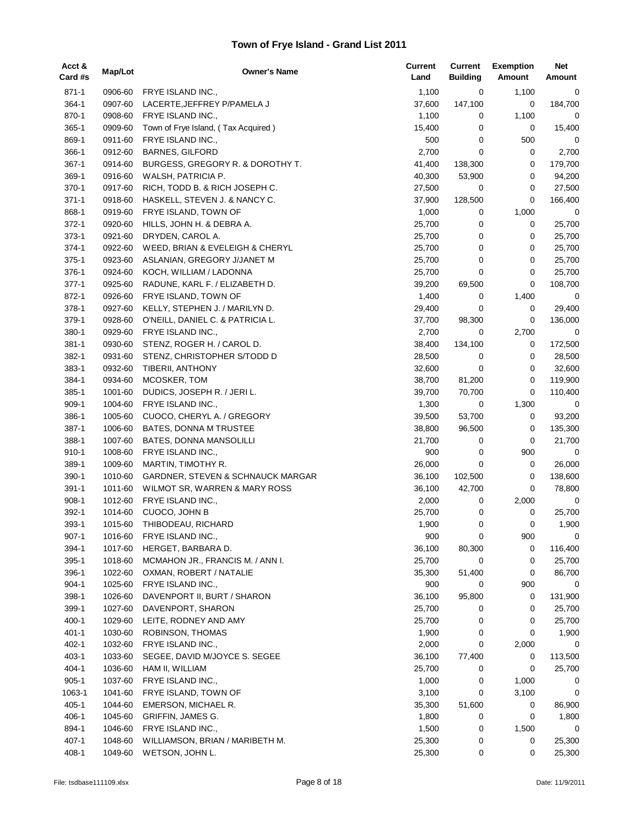| Acct &<br>Card #s | Map/Lot | Owner's Name                        | <b>Current</b><br>Land | <b>Current</b><br><b>Building</b> | <b>Exemption</b><br>Amount | <b>Net</b><br>Amount |
|-------------------|---------|-------------------------------------|------------------------|-----------------------------------|----------------------------|----------------------|
| 871-1             | 0906-60 | FRYE ISLAND INC.,                   | 1,100                  | 0                                 | 1,100                      | 0                    |
| 364-1             | 0907-60 | LACERTE, JEFFREY P/PAMELA J         | 37,600                 | 147,100                           | 0                          | 184,700              |
| 870-1             | 0908-60 | FRYE ISLAND INC.,                   | 1,100                  | 0                                 | 1,100                      | 0                    |
| 365-1             | 0909-60 | Town of Frye Island, (Tax Acquired) | 15,400                 | 0                                 | 0                          | 15,400               |
| 869-1             | 0911-60 | FRYE ISLAND INC.,                   | 500                    | 0                                 | 500                        | 0                    |
| 366-1             | 0912-60 | <b>BARNES, GILFORD</b>              | 2,700                  | 0                                 | 0                          | 2,700                |
| $367 - 1$         | 0914-60 | BURGESS, GREGORY R. & DOROTHY T.    | 41,400                 | 138,300                           | 0                          | 179,700              |
| 369-1             | 0916-60 | WALSH, PATRICIA P.                  | 40,300                 | 53,900                            | 0                          | 94,200               |
| $370-1$           | 0917-60 | RICH, TODD B. & RICH JOSEPH C.      | 27,500                 | 0                                 | 0                          | 27,500               |
| 371-1             | 0918-60 | HASKELL, STEVEN J. & NANCY C.       | 37,900                 | 128,500                           | 0                          | 166,400              |
| 868-1             | 0919-60 | FRYE ISLAND, TOWN OF                | 1,000                  | 0                                 | 1,000                      | 0                    |
| 372-1             | 0920-60 | HILLS, JOHN H. & DEBRA A.           | 25,700                 | 0                                 | 0                          | 25,700               |
| $373-1$           | 0921-60 | DRYDEN, CAROL A.                    | 25,700                 | 0                                 | 0                          | 25,700               |
| $374 - 1$         | 0922-60 | WEED, BRIAN & EVELEIGH & CHERYL     | 25,700                 | 0                                 | 0                          | 25,700               |
| $375-1$           | 0923-60 | ASLANIAN, GREGORY J/JANET M         | 25,700                 | 0                                 | 0                          | 25,700               |
| 376-1             | 0924-60 | KOCH, WILLIAM / LADONNA             | 25,700                 | 0                                 | 0                          | 25,700               |
| $377 - 1$         | 0925-60 | RADUNE, KARL F. / ELIZABETH D.      | 39,200                 | 69,500                            | 0                          | 108,700              |
| 872-1             | 0926-60 | FRYE ISLAND, TOWN OF                | 1,400                  | 0                                 | 1,400                      | 0                    |
| 378-1             | 0927-60 | KELLY, STEPHEN J. / MARILYN D.      | 29,400                 | 0                                 | 0                          | 29,400               |
| 379-1             | 0928-60 | O'NEILL, DANIEL C. & PATRICIA L.    | 37,700                 | 98,300                            | 0                          | 136,000              |
| 380-1             | 0929-60 | FRYE ISLAND INC.,                   | 2,700                  | 0                                 | 2,700                      | 0                    |
| $381 - 1$         | 0930-60 | STENZ, ROGER H. / CAROL D.          | 38,400                 | 134,100                           | 0                          | 172,500              |
| 382-1             | 0931-60 | STENZ, CHRISTOPHER S/TODD D         | 28,500                 | 0                                 | 0                          | 28,500               |
| 383-1             | 0932-60 | TIBERII, ANTHONY                    | 32,600                 | 0                                 | 0                          | 32,600               |
| 384-1             | 0934-60 | MCOSKER, TOM                        | 38,700                 | 81,200                            | 0                          | 119,900              |
| 385-1             | 1001-60 | DUDICS, JOSEPH R. / JERI L.         | 39,700                 | 70,700                            | 0                          | 110,400              |
| $909-1$           | 1004-60 | FRYE ISLAND INC.,                   | 1,300                  | 0                                 | 1,300                      | 0                    |
| 386-1             | 1005-60 | CUOCO, CHERYL A. / GREGORY          | 39,500                 | 53,700                            | 0                          | 93,200               |
| $387 - 1$         | 1006-60 | BATES, DONNA M TRUSTEE              | 38,800                 | 96,500                            | 0                          | 135,300              |
| 388-1             | 1007-60 | BATES, DONNA MANSOLILLI             | 21,700                 | 0                                 | 0                          | 21,700               |
| $910 - 1$         | 1008-60 | FRYE ISLAND INC.,                   | 900                    | 0                                 | 900                        | 0                    |
| 389-1             | 1009-60 | MARTIN, TIMOTHY R.                  | 26,000                 | 0                                 | 0                          | 26,000               |
| $390-1$           | 1010-60 | GARDNER, STEVEN & SCHNAUCK MARGAR   | 36,100                 | 102,500                           | 0                          | 138,600              |
| 391-1             | 1011-60 | WILMOT SR, WARREN & MARY ROSS       | 36,100                 | 42,700                            | 0                          | 78,800               |
| 908-1             | 1012-60 | FRYE ISLAND INC.,                   | 2,000                  | 0                                 | 2,000                      | 0                    |
| 392-1             | 1014-60 | CUOCO, JOHN B                       | 25,700                 | 0                                 | 0                          | 25,700               |
| 393-1             | 1015-60 | THIBODEAU, RICHARD                  | 1,900                  | 0                                 | 0                          | 1,900                |
| $907 - 1$         | 1016-60 | FRYE ISLAND INC.,                   | 900                    | $\mathbf 0$                       | 900                        | 0                    |
| 394-1             | 1017-60 | HERGET, BARBARA D.                  | 36,100                 | 80,300                            | 0                          | 116,400              |
| $395 - 1$         | 1018-60 | MCMAHON JR., FRANCIS M. / ANN I.    | 25,700                 | 0                                 | 0                          | 25,700               |
| 396-1             | 1022-60 | OXMAN, ROBERT / NATALIE             | 35,300                 | 51,400                            | 0                          | 86,700               |
| $904 - 1$         | 1025-60 | FRYE ISLAND INC.,                   | 900                    | 0                                 | 900                        | 0                    |
| 398-1             | 1026-60 | DAVENPORT II, BURT / SHARON         | 36,100                 | 95,800                            | 0                          | 131,900              |
| 399-1             | 1027-60 | DAVENPORT, SHARON                   | 25,700                 | 0                                 | 0                          | 25,700               |
| $400 - 1$         | 1029-60 | LEITE, RODNEY AND AMY               | 25,700                 | 0                                 | 0                          | 25,700               |
| $401 - 1$         | 1030-60 | ROBINSON, THOMAS                    | 1,900                  | 0                                 | 0                          | 1,900                |
| 402-1             | 1032-60 | FRYE ISLAND INC.,                   | 2,000                  | 0                                 | 2,000                      | 0                    |
| 403-1             | 1033-60 | SEGEE, DAVID M/JOYCE S. SEGEE       | 36,100                 | 77,400                            | 0                          | 113,500              |
| 404-1             | 1036-60 | HAM II, WILLIAM                     | 25,700                 | 0                                 | 0                          | 25,700               |
| $905 - 1$         | 1037-60 | FRYE ISLAND INC.,                   | 1,000                  | 0                                 | 1,000                      | 0                    |
| 1063-1            | 1041-60 | FRYE ISLAND, TOWN OF                | 3,100                  | 0                                 | 3,100                      | 0                    |
| $405 - 1$         | 1044-60 | EMERSON, MICHAEL R.                 | 35,300                 | 51,600                            | 0                          | 86,900               |
| 406-1             | 1045-60 | GRIFFIN, JAMES G.                   | 1,800                  | 0                                 | 0                          | 1,800                |
| 894-1             | 1046-60 | FRYE ISLAND INC.,                   | 1,500                  | 0                                 | 1,500                      | 0                    |
| 407-1             | 1048-60 | WILLIAMSON, BRIAN / MARIBETH M.     | 25,300                 | 0                                 | 0                          | 25,300               |
| $408 - 1$         | 1049-60 | WETSON, JOHN L.                     | 25,300                 | 0                                 | 0                          | 25,300               |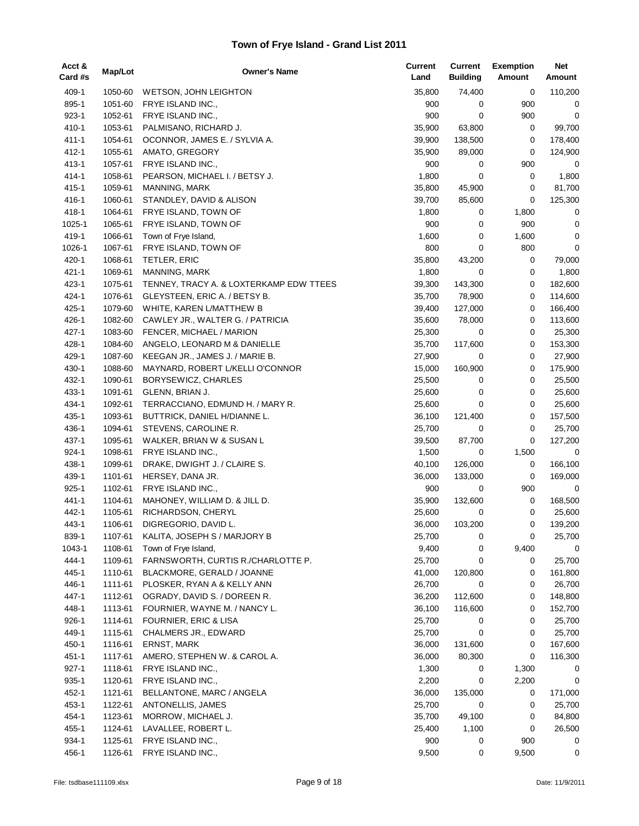| Acct &<br>Card #s | Map/Lot | <b>Owner's Name</b>                     | <b>Current</b><br>Land | Current<br><b>Building</b> | <b>Exemption</b><br>Amount | Net<br>Amount |
|-------------------|---------|-----------------------------------------|------------------------|----------------------------|----------------------------|---------------|
| 409-1             | 1050-60 | WETSON, JOHN LEIGHTON                   | 35,800                 | 74,400                     | 0                          | 110,200       |
| 895-1             | 1051-60 | FRYE ISLAND INC.,                       | 900                    | 0                          | 900                        | 0             |
| $923 - 1$         | 1052-61 | FRYE ISLAND INC.,                       | 900                    | 0                          | 900                        | 0             |
| $410 - 1$         | 1053-61 | PALMISANO, RICHARD J.                   | 35,900                 | 63,800                     | 0                          | 99,700        |
| 411-1             | 1054-61 | OCONNOR, JAMES E. / SYLVIA A.           | 39,900                 | 138,500                    | 0                          | 178,400       |
| 412-1             | 1055-61 | AMATO, GREGORY                          | 35,900                 | 89,000                     | 0                          | 124,900       |
| 413-1             | 1057-61 | FRYE ISLAND INC.,                       | 900                    | 0                          | 900                        | 0             |
| 414-1             | 1058-61 | PEARSON, MICHAEL I. / BETSY J.          | 1,800                  | 0                          | 0                          | 1,800         |
| 415-1             | 1059-61 | MANNING, MARK                           | 35,800                 | 45,900                     | 0                          | 81,700        |
| 416-1             | 1060-61 | STANDLEY, DAVID & ALISON                | 39,700                 | 85,600                     | 0                          | 125,300       |
| 418-1             | 1064-61 | FRYE ISLAND, TOWN OF                    | 1,800                  | 0                          | 1,800                      | 0             |
| 1025-1            | 1065-61 | FRYE ISLAND, TOWN OF                    | 900                    | 0                          | 900                        | 0             |
| 419-1             | 1066-61 | Town of Frye Island,                    | 1,600                  | 0                          | 1,600                      | 0             |
| 1026-1            | 1067-61 | FRYE ISLAND, TOWN OF                    | 800                    | 0                          | 800                        | 0             |
| 420-1             | 1068-61 | <b>TETLER, ERIC</b>                     | 35,800                 | 43,200                     | 0                          | 79,000        |
| $421 - 1$         | 1069-61 | MANNING, MARK                           | 1,800                  | 0                          | 0                          | 1,800         |
| 423-1             | 1075-61 | TENNEY, TRACY A. & LOXTERKAMP EDW TTEES | 39,300                 | 143,300                    | 0                          | 182,600       |
| 424-1             | 1076-61 | GLEYSTEEN, ERIC A. / BETSY B.           | 35,700                 | 78,900                     | 0                          | 114,600       |
| $425 - 1$         | 1079-60 | WHITE, KAREN L/MATTHEW B                | 39,400                 | 127,000                    | 0                          | 166,400       |
| 426-1             | 1082-60 | CAWLEY JR., WALTER G. / PATRICIA        | 35,600                 | 78,000                     | 0                          | 113,600       |
| 427-1             | 1083-60 | FENCER, MICHAEL / MARION                | 25,300                 | 0                          | 0                          | 25,300        |
| 428-1             | 1084-60 | ANGELO, LEONARD M & DANIELLE            | 35,700                 | 117,600                    | 0                          | 153,300       |
| 429-1             | 1087-60 | KEEGAN JR., JAMES J. / MARIE B.         | 27,900                 | 0                          | 0                          | 27,900        |
| 430-1             | 1088-60 | MAYNARD, ROBERT L/KELLI O'CONNOR        | 15,000                 | 160,900                    | 0                          | 175,900       |
| 432-1             | 1090-61 | BORYSEWICZ, CHARLES                     | 25,500                 | 0                          | 0                          | 25,500        |
| $433 - 1$         | 1091-61 | GLENN, BRIAN J.                         | 25,600                 | 0                          | 0                          | 25,600        |
| 434-1             | 1092-61 | TERRACCIANO, EDMUND H. / MARY R.        | 25,600                 | 0                          | 0                          | 25,600        |
| 435-1             | 1093-61 | BUTTRICK, DANIEL H/DIANNE L.            | 36,100                 | 121,400                    | 0                          | 157,500       |
| 436-1             | 1094-61 | STEVENS, CAROLINE R.                    | 25,700                 | 0                          | 0                          | 25,700        |
| 437-1             | 1095-61 | WALKER, BRIAN W & SUSAN L               | 39,500                 | 87,700                     | 0                          | 127,200       |
| 924-1             | 1098-61 | FRYE ISLAND INC.,                       | 1,500                  | 0                          | 1,500                      | 0             |
| 438-1             | 1099-61 | DRAKE, DWIGHT J. / CLAIRE S.            | 40,100                 | 126,000                    | 0                          | 166,100       |
| 439-1             | 1101-61 | HERSEY, DANA JR.                        | 36,000                 | 133,000                    | 0                          | 169,000       |
| $925 - 1$         | 1102-61 | FRYE ISLAND INC.,                       | 900                    | 0                          | 900                        | 0             |
| $441 - 1$         | 1104-61 | MAHONEY, WILLIAM D. & JILL D.           | 35,900                 | 132,600                    | 0                          | 168,500       |
| 442-1             | 1105-61 | RICHARDSON, CHERYL                      | 25,600                 | 0                          | 0                          | 25,600        |
| 443-1             | 1106-61 | DIGREGORIO, DAVID L.                    | 36,000                 | 103,200                    | 0                          | 139,200       |
| 839-1             | 1107-61 | KALITA, JOSEPH S / MARJORY B            | 25,700                 | 0                          | $\mathbf 0$                | 25,700        |
| 1043-1            | 1108-61 | Town of Frye Island,                    | 9,400                  | 0                          | 9,400                      | 0             |
| 444-1             | 1109-61 | FARNSWORTH, CURTIS R./CHARLOTTE P.      | 25,700                 | 0                          | 0                          | 25,700        |
| 445-1             | 1110-61 | BLACKMORE, GERALD / JOANNE              | 41,000                 | 120,800                    | 0                          | 161,800       |
| 446-1             | 1111-61 | PLOSKER, RYAN A & KELLY ANN             | 26,700                 | 0                          | 0                          | 26,700        |
| 447-1             | 1112-61 | OGRADY, DAVID S. / DOREEN R.            | 36,200                 | 112,600                    | 0                          | 148,800       |
| 448-1             | 1113-61 | FOURNIER, WAYNE M. / NANCY L.           | 36,100                 | 116,600                    | 0                          | 152,700       |
| 926-1             | 1114-61 | <b>FOURNIER, ERIC &amp; LISA</b>        | 25,700                 | 0                          | 0                          | 25,700        |
| 449-1             | 1115-61 | CHALMERS JR., EDWARD                    | 25,700                 | 0                          | 0                          | 25,700        |
| $450 - 1$         | 1116-61 | ERNST, MARK                             | 36,000                 | 131,600                    | 0                          | 167,600       |
| $451 - 1$         | 1117-61 | AMERO, STEPHEN W. & CAROL A.            | 36,000                 | 80,300                     | 0                          | 116,300       |
| $927 - 1$         | 1118-61 | FRYE ISLAND INC.,                       | 1,300                  | 0                          | 1,300                      | 0             |
| 935-1             | 1120-61 | FRYE ISLAND INC.,                       | 2,200                  | 0                          | 2,200                      | 0             |
| 452-1             | 1121-61 | BELLANTONE, MARC / ANGELA               | 36,000                 | 135,000                    | 0                          | 171,000       |
| 453-1             | 1122-61 | ANTONELLIS, JAMES                       | 25,700                 | 0                          | 0                          | 25,700        |
| 454-1             | 1123-61 | MORROW, MICHAEL J.                      | 35,700                 | 49,100                     | 0                          | 84,800        |
| 455-1             | 1124-61 | LAVALLEE, ROBERT L.                     | 25,400                 | 1,100                      | 0                          | 26,500        |
| 934-1             | 1125-61 | FRYE ISLAND INC.,                       | 900                    | 0                          | 900                        | 0             |
| 456-1             | 1126-61 | FRYE ISLAND INC.,                       | 9,500                  | 0                          | 9,500                      | 0             |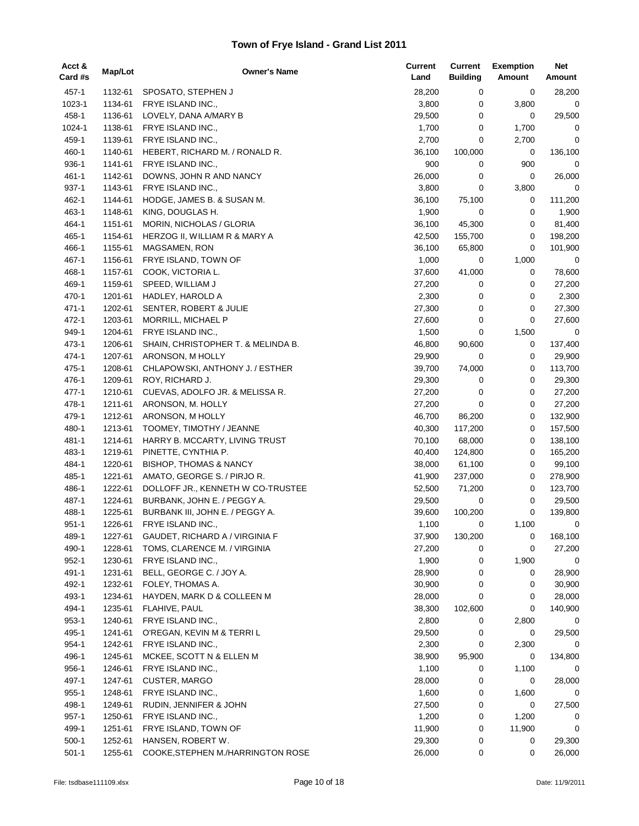| Acct &<br>Card #s | Map/Lot | <b>Owner's Name</b>                | <b>Current</b><br>Land | <b>Current</b><br><b>Building</b> | <b>Exemption</b><br>Amount | <b>Net</b><br>Amount |
|-------------------|---------|------------------------------------|------------------------|-----------------------------------|----------------------------|----------------------|
| 457-1             | 1132-61 | SPOSATO, STEPHEN J                 | 28,200                 | 0                                 | 0                          | 28,200               |
| 1023-1            | 1134-61 | FRYE ISLAND INC.,                  | 3,800                  | 0                                 | 3,800                      | 0                    |
| 458-1             | 1136-61 | LOVELY, DANA A/MARY B              | 29,500                 | 0                                 | 0                          | 29,500               |
| 1024-1            | 1138-61 | FRYE ISLAND INC.,                  | 1,700                  | 0                                 | 1,700                      | 0                    |
| 459-1             | 1139-61 | FRYE ISLAND INC.,                  | 2,700                  | 0                                 | 2,700                      | 0                    |
| 460-1             | 1140-61 | HEBERT, RICHARD M. / RONALD R.     | 36,100                 | 100,000                           | 0                          | 136,100              |
| 936-1             | 1141-61 | FRYE ISLAND INC.,                  | 900                    | 0                                 | 900                        | 0                    |
| 461-1             | 1142-61 | DOWNS, JOHN R AND NANCY            | 26,000                 | 0                                 | 0                          | 26,000               |
| 937-1             | 1143-61 | FRYE ISLAND INC.,                  | 3,800                  | 0                                 | 3,800                      | 0                    |
| 462-1             | 1144-61 | HODGE, JAMES B. & SUSAN M.         | 36,100                 | 75,100                            | 0                          | 111,200              |
| 463-1             | 1148-61 | KING, DOUGLAS H.                   | 1,900                  | 0                                 | 0                          | 1,900                |
| 464-1             | 1151-61 | MORIN, NICHOLAS / GLORIA           | 36,100                 | 45,300                            | 0                          | 81,400               |
| 465-1             | 1154-61 | HERZOG II, WILLIAM R & MARY A      | 42,500                 | 155,700                           | 0                          | 198,200              |
| 466-1             | 1155-61 | MAGSAMEN, RON                      | 36,100                 | 65,800                            | 0                          | 101,900              |
| 467-1             | 1156-61 | FRYE ISLAND, TOWN OF               | 1,000                  | 0                                 | 1,000                      | 0                    |
| 468-1             | 1157-61 | COOK, VICTORIA L.                  | 37,600                 | 41,000                            | 0                          | 78,600               |
| 469-1             | 1159-61 | SPEED, WILLIAM J                   | 27,200                 | 0                                 | 0                          | 27,200               |
| 470-1             | 1201-61 | HADLEY, HAROLD A                   | 2,300                  | 0                                 | 0                          | 2,300                |
| 471-1             | 1202-61 | SENTER, ROBERT & JULIE             | 27,300                 | 0                                 | 0                          | 27,300               |
| 472-1             | 1203-61 | MORRILL, MICHAEL P                 | 27,600                 | 0                                 | 0                          | 27,600               |
| 949-1             | 1204-61 | FRYE ISLAND INC.,                  | 1,500                  | 0                                 | 1,500                      | 0                    |
| 473-1             | 1206-61 | SHAIN, CHRISTOPHER T. & MELINDA B. | 46,800                 | 90,600                            | 0                          | 137,400              |
| 474-1             | 1207-61 | ARONSON, M HOLLY                   | 29,900                 | 0                                 | 0                          | 29,900               |
| 475-1             | 1208-61 | CHLAPOWSKI, ANTHONY J. / ESTHER    | 39,700                 | 74,000                            | 0                          | 113,700              |
| 476-1             | 1209-61 | ROY, RICHARD J.                    | 29,300                 | 0                                 | 0                          | 29,300               |
| $477 - 1$         | 1210-61 | CUEVAS, ADOLFO JR. & MELISSA R.    | 27,200                 | 0                                 | 0                          | 27,200               |
| 478-1             | 1211-61 | ARONSON, M. HOLLY                  | 27,200                 | 0                                 | 0                          | 27,200               |
| 479-1             | 1212-61 | ARONSON, M HOLLY                   | 46,700                 | 86,200                            | 0                          | 132,900              |
| 480-1             | 1213-61 | TOOMEY, TIMOTHY / JEANNE           | 40,300                 | 117,200                           | 0                          | 157,500              |
| 481-1             | 1214-61 | HARRY B. MCCARTY, LIVING TRUST     | 70,100                 | 68,000                            | 0                          | 138,100              |
| 483-1             | 1219-61 | PINETTE, CYNTHIA P.                | 40,400                 | 124,800                           | 0                          | 165,200              |
| 484-1             | 1220-61 | <b>BISHOP, THOMAS &amp; NANCY</b>  | 38,000                 | 61,100                            | 0                          | 99,100               |
| 485-1             | 1221-61 | AMATO, GEORGE S. / PIRJO R.        | 41,900                 | 237,000                           | 0                          | 278,900              |
| 486-1             | 1222-61 | DOLLOFF JR., KENNETH W CO-TRUSTEE  | 52,500                 | 71,200                            | 0                          | 123,700              |
| 487-1             | 1224-61 | BURBANK, JOHN E. / PEGGY A.        | 29,500                 | 0                                 | 0                          | 29,500               |
| 488-1             | 1225-61 | BURBANK III, JOHN E. / PEGGY A.    | 39,600                 | 100,200                           | 0                          | 139,800              |
| $951 - 1$         | 1226-61 | FRYE ISLAND INC.,                  | 1,100                  | 0                                 | 1,100                      | 0                    |
| 489-1             | 1227-61 | GAUDET, RICHARD A / VIRGINIA F     | 37,900                 | 130,200                           | 0                          | 168,100              |
| 490-1             | 1228-61 | TOMS, CLARENCE M. / VIRGINIA       | 27,200                 | 0                                 | 0                          | 27,200               |
| $952 - 1$         | 1230-61 | FRYE ISLAND INC.,                  | 1,900                  | 0                                 | 1,900                      | 0                    |
| 491-1             | 1231-61 | BELL, GEORGE C. / JOY A.           | 28,900                 | 0                                 | 0                          | 28,900               |
| 492-1             | 1232-61 | FOLEY, THOMAS A.                   | 30,900                 | 0                                 | 0                          | 30,900               |
| 493-1             | 1234-61 | HAYDEN, MARK D & COLLEEN M         | 28,000                 | 0                                 | 0                          | 28,000               |
| 494-1             | 1235-61 | FLAHIVE, PAUL                      | 38,300                 | 102,600                           | 0                          | 140,900              |
| $953 - 1$         | 1240-61 | FRYE ISLAND INC.,                  | 2,800                  | 0                                 | 2,800                      | 0                    |
| 495-1             | 1241-61 | O'REGAN, KEVIN M & TERRIL          | 29,500                 | 0                                 | 0                          | 29,500               |
| 954-1             | 1242-61 | FRYE ISLAND INC.,                  | 2,300                  | 0                                 | 2,300                      | 0                    |
| 496-1             | 1245-61 | MCKEE, SCOTT N & ELLEN M           | 38,900                 | 95,900                            | 0                          | 134,800              |
| 956-1             | 1246-61 | FRYE ISLAND INC.,                  | 1,100                  | 0                                 | 1,100                      | 0                    |
| 497-1             | 1247-61 | CUSTER, MARGO                      | 28,000                 | 0                                 | 0                          | 28,000               |
| $955 - 1$         | 1248-61 | FRYE ISLAND INC.,                  | 1,600                  | 0                                 | 1,600                      | 0                    |
| 498-1             | 1249-61 | RUDIN, JENNIFER & JOHN             | 27,500                 | 0                                 | 0                          | 27,500               |
| $957 - 1$         | 1250-61 | FRYE ISLAND INC.,                  | 1,200                  | 0                                 | 1,200                      | 0                    |
| 499-1             | 1251-61 | FRYE ISLAND, TOWN OF               | 11,900                 | 0                                 | 11,900                     | 0                    |
| $500-1$           | 1252-61 | HANSEN, ROBERT W.                  | 29,300                 | 0                                 | 0                          | 29,300               |
| $501 - 1$         | 1255-61 | COOKE, STEPHEN M./HARRINGTON ROSE  | 26,000                 | 0                                 | 0                          | 26,000               |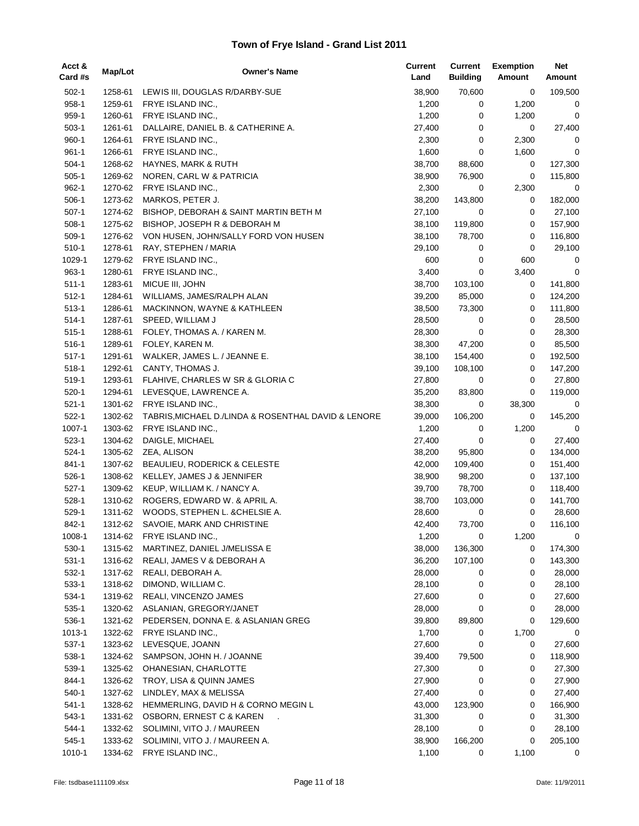| Acct &<br>Card #s | Map/Lot            | <b>Owner's Name</b>                                 | Current<br>Land  | <b>Current</b><br><b>Building</b> | <b>Exemption</b><br>Amount | <b>Net</b><br>Amount |
|-------------------|--------------------|-----------------------------------------------------|------------------|-----------------------------------|----------------------------|----------------------|
| $502 - 1$         | 1258-61            | LEWIS III, DOUGLAS R/DARBY-SUE                      | 38,900           | 70,600                            | 0                          | 109,500              |
| $958 - 1$         | 1259-61            | FRYE ISLAND INC.,                                   | 1,200            | 0                                 | 1,200                      | 0                    |
| 959-1             | 1260-61            | FRYE ISLAND INC.,                                   | 1,200            | 0                                 | 1,200                      | 0                    |
| $503-1$           | 1261-61            | DALLAIRE, DANIEL B. & CATHERINE A.                  | 27,400           | 0                                 | 0                          | 27,400               |
| 960-1             | 1264-61            | FRYE ISLAND INC.,                                   | 2,300            | 0                                 | 2,300                      | 0                    |
| 961-1             | 1266-61            | FRYE ISLAND INC.,                                   | 1,600            | 0                                 | 1,600                      | 0                    |
| $504-1$           | 1268-62            | HAYNES, MARK & RUTH                                 | 38,700           | 88,600                            | 0                          | 127,300              |
| $505-1$           | 1269-62            | NOREN, CARL W & PATRICIA                            | 38,900           | 76,900                            | 0                          | 115,800              |
| 962-1             | 1270-62            | FRYE ISLAND INC.,                                   | 2,300            | 0                                 | 2,300                      | 0                    |
| 506-1             | 1273-62            | MARKOS, PETER J.                                    | 38,200           | 143,800                           | 0                          | 182,000              |
| 507-1             | 1274-62            | BISHOP, DEBORAH & SAINT MARTIN BETH M               | 27,100           | 0                                 | 0                          | 27,100               |
| $508-1$           | 1275-62            | BISHOP, JOSEPH R & DEBORAH M                        | 38,100           | 119,800                           | 0                          | 157,900              |
| $509-1$           | 1276-62            | VON HUSEN, JOHN/SALLY FORD VON HUSEN                | 38,100           | 78,700                            | 0                          | 116,800              |
| $510-1$           | 1278-61            | RAY, STEPHEN / MARIA                                | 29,100           | 0                                 | 0                          | 29,100               |
| 1029-1            | 1279-62            | FRYE ISLAND INC.,                                   | 600              | 0                                 | 600                        | 0                    |
| 963-1             | 1280-61            | FRYE ISLAND INC.,                                   | 3,400            | 0                                 | 3,400                      | 0                    |
| $511 - 1$         | 1283-61            | MICUE III, JOHN                                     | 38,700           | 103,100                           | 0                          | 141,800              |
| 512-1             | 1284-61            | WILLIAMS, JAMES/RALPH ALAN                          | 39,200           | 85,000                            | 0                          | 124,200              |
| 513-1             | 1286-61            | <b>MACKINNON, WAYNE &amp; KATHLEEN</b>              | 38,500           | 73,300                            | 0                          | 111,800              |
| $514 - 1$         | 1287-61            | SPEED, WILLIAM J                                    | 28,500           | 0                                 | 0                          | 28,500               |
| $515 - 1$         | 1288-61            | FOLEY, THOMAS A. / KAREN M.                         | 28,300           | 0                                 | 0                          | 28,300               |
| 516-1             | 1289-61            | FOLEY, KAREN M.                                     | 38,300           | 47,200                            | 0                          | 85,500               |
| 517-1             | 1291-61            | WALKER, JAMES L. / JEANNE E.                        | 38,100           | 154,400                           | 0                          | 192,500              |
| 518-1             | 1292-61            | CANTY, THOMAS J.                                    | 39,100           | 108,100                           | 0                          | 147,200              |
| 519-1<br>$520-1$  | 1293-61<br>1294-61 | FLAHIVE, CHARLES W SR & GLORIA C                    | 27,800           | 0                                 | 0<br>0                     | 27,800               |
| $521 - 1$         | 1301-62            | LEVESQUE, LAWRENCE A.<br>FRYE ISLAND INC.,          | 35,200<br>38,300 | 83,800<br>0                       | 38,300                     | 119,000<br>0         |
| $522 - 1$         | 1302-62            | TABRIS, MICHAEL D./LINDA & ROSENTHAL DAVID & LENORE | 39,000           | 106,200                           | 0                          | 145,200              |
| 1007-1            | 1303-62            | FRYE ISLAND INC.,                                   | 1,200            | 0                                 | 1,200                      | 0                    |
| $523-1$           | 1304-62            | DAIGLE, MICHAEL                                     | 27,400           | 0                                 | 0                          | 27,400               |
| 524-1             | 1305-62            | ZEA, ALISON                                         | 38,200           | 95,800                            | 0                          | 134,000              |
| $841 - 1$         | 1307-62            | BEAULIEU, RODERICK & CELESTE                        | 42,000           | 109,400                           | 0                          | 151,400              |
| 526-1             | 1308-62            | KELLEY, JAMES J & JENNIFER                          | 38,900           | 98,200                            | 0                          | 137,100              |
| 527-1             | 1309-62            | KEUP, WILLIAM K. / NANCY A.                         | 39,700           | 78,700                            | 0                          | 118,400              |
| 528-1             | 1310-62            | ROGERS, EDWARD W. & APRIL A.                        | 38,700           | 103,000                           | 0                          | 141,700              |
| 529-1             | 1311-62            | WOODS, STEPHEN L. & CHELSIE A.                      | 28,600           | 0                                 | 0                          | 28,600               |
| 842-1             | 1312-62            | SAVOIE, MARK AND CHRISTINE                          | 42,400           | 73,700                            | 0                          | 116,100              |
| 1008-1            | 1314-62            | FRYE ISLAND INC.,                                   | 1,200            | 0                                 | 1,200                      | 0                    |
| 530-1             | 1315-62            | MARTINEZ, DANIEL J/MELISSA E                        | 38,000           | 136,300                           | 0                          | 174,300              |
| $531 - 1$         | 1316-62            | REALI, JAMES V & DEBORAH A                          | 36,200           | 107,100                           | 0                          | 143,300              |
| 532-1             | 1317-62            | REALI, DEBORAH A.                                   | 28,000           | 0                                 | 0                          | 28,000               |
| 533-1             | 1318-62            | DIMOND, WILLIAM C.                                  | 28,100           | 0                                 | 0                          | 28,100               |
| 534-1             | 1319-62            | REALI, VINCENZO JAMES                               | 27,600           | 0                                 | 0                          | 27,600               |
| 535-1             | 1320-62            | ASLANIAN, GREGORY/JANET                             | 28,000           | 0                                 | 0                          | 28,000               |
| 536-1             | 1321-62            | PEDERSEN, DONNA E. & ASLANIAN GREG                  | 39,800           | 89,800                            | 0                          | 129,600              |
| 1013-1            | 1322-62            | FRYE ISLAND INC.,                                   | 1,700            | 0                                 | 1,700                      | 0                    |
| 537-1             | 1323-62            | LEVESQUE, JOANN                                     | 27,600           | 0                                 | 0                          | 27,600               |
| 538-1             | 1324-62            | SAMPSON, JOHN H. / JOANNE                           | 39,400           | 79,500                            | 0                          | 118,900              |
| 539-1             | 1325-62            | OHANESIAN, CHARLOTTE                                | 27,300           | 0                                 | 0                          | 27,300               |
| 844-1             | 1326-62            | TROY, LISA & QUINN JAMES                            | 27,900           | 0                                 | 0                          | 27,900               |
| 540-1             | 1327-62            | LINDLEY, MAX & MELISSA                              | 27,400           | 0                                 | 0                          | 27,400               |
| $541 - 1$         | 1328-62            | HEMMERLING, DAVID H & CORNO MEGIN L                 | 43,000           | 123,900                           | 0                          | 166,900              |
| 543-1             | 1331-62            | OSBORN, ERNEST C & KAREN                            | 31,300           | 0                                 | 0                          | 31,300               |
| 544-1             | 1332-62            | SOLIMINI, VITO J. / MAUREEN                         | 28,100           | 0                                 | 0                          | 28,100               |
| 545-1             | 1333-62            | SOLIMINI, VITO J. / MAUREEN A.                      | 38,900           | 166,200                           | 0                          | 205,100              |
| 1010-1            | 1334-62            | FRYE ISLAND INC.,                                   | 1,100            | 0                                 | 1,100                      | 0                    |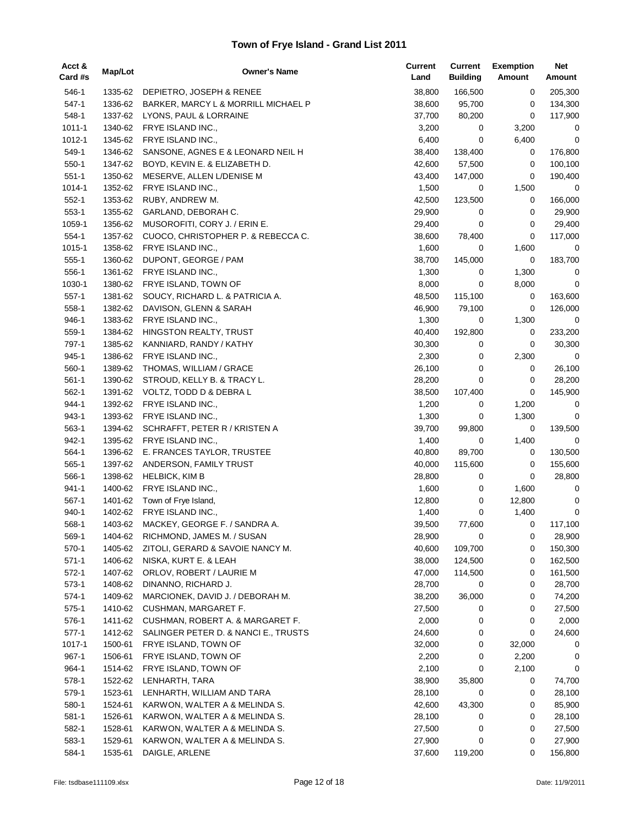| Acct &<br>Card #s | Map/Lot | <b>Owner's Name</b>                  | <b>Current</b><br>Land | <b>Current</b><br><b>Building</b> | <b>Exemption</b><br>Amount | <b>Net</b><br>Amount |
|-------------------|---------|--------------------------------------|------------------------|-----------------------------------|----------------------------|----------------------|
| 546-1             | 1335-62 | DEPIETRO, JOSEPH & RENEE             | 38,800                 | 166,500                           | 0                          | 205,300              |
| $547-1$           | 1336-62 | BARKER, MARCY L & MORRILL MICHAEL P  | 38,600                 | 95,700                            | 0                          | 134,300              |
| 548-1             | 1337-62 | LYONS, PAUL & LORRAINE               | 37,700                 | 80,200                            | 0                          | 117,900              |
| 1011-1            | 1340-62 | FRYE ISLAND INC.,                    | 3,200                  | 0                                 | 3,200                      | 0                    |
| 1012-1            | 1345-62 | FRYE ISLAND INC.,                    | 6,400                  | 0                                 | 6,400                      | 0                    |
| 549-1             | 1346-62 | SANSONE, AGNES E & LEONARD NEIL H    | 38,400                 | 138,400                           | 0                          | 176,800              |
| $550-1$           | 1347-62 | BOYD, KEVIN E. & ELIZABETH D.        | 42,600                 | 57,500                            | 0                          | 100,100              |
| $551 - 1$         | 1350-62 | MESERVE, ALLEN L/DENISE M            | 43,400                 | 147,000                           | 0                          | 190,400              |
| 1014-1            | 1352-62 | FRYE ISLAND INC.,                    | 1,500                  | 0                                 | 1,500                      | 0                    |
| $552-1$           | 1353-62 | RUBY, ANDREW M.                      | 42,500                 | 123,500                           | 0                          | 166,000              |
| 553-1             | 1355-62 | GARLAND, DEBORAH C.                  | 29,900                 | 0                                 | 0                          | 29,900               |
| 1059-1            | 1356-62 | MUSOROFITI, CORY J. / ERIN E.        | 29,400                 | 0                                 | 0                          | 29,400               |
| 554-1             | 1357-62 | CUOCO, CHRISTOPHER P. & REBECCA C.   | 38,600                 | 78,400                            | 0                          | 117,000              |
| 1015-1            | 1358-62 | FRYE ISLAND INC.,                    | 1,600                  | 0                                 | 1,600                      | 0                    |
| $555-1$           | 1360-62 | DUPONT, GEORGE / PAM                 | 38,700                 | 145,000                           | 0                          | 183,700              |
| 556-1             | 1361-62 | FRYE ISLAND INC.,                    | 1,300                  | 0                                 | 1,300                      | 0                    |
| 1030-1            | 1380-62 | FRYE ISLAND, TOWN OF                 | 8,000                  | 0                                 | 8,000                      | 0                    |
| $557-1$           | 1381-62 | SOUCY, RICHARD L. & PATRICIA A.      | 48,500                 | 115,100                           | 0                          | 163,600              |
| 558-1             | 1382-62 | DAVISON, GLENN & SARAH               | 46,900                 | 79,100                            | 0                          | 126,000              |
| 946-1             | 1383-62 | FRYE ISLAND INC.,                    | 1,300                  | 0                                 | 1,300                      | 0                    |
| 559-1             | 1384-62 | HINGSTON REALTY, TRUST               | 40,400                 | 192,800                           | 0                          | 233,200              |
| 797-1             | 1385-62 | KANNIARD, RANDY / KATHY              | 30,300                 | 0                                 | 0                          | 30,300               |
| 945-1             | 1386-62 | FRYE ISLAND INC.,                    | 2,300                  | 0                                 | 2,300                      | 0                    |
| 560-1             | 1389-62 | THOMAS, WILLIAM / GRACE              | 26,100                 | 0                                 | 0                          | 26,100               |
| $561 - 1$         | 1390-62 | STROUD, KELLY B. & TRACY L.          | 28,200                 | 0                                 | 0                          | 28,200               |
| $562-1$           | 1391-62 | VOLTZ, TODD D & DEBRA L              | 38,500                 | 107,400                           | 0                          | 145,900              |
| 944-1             | 1392-62 | FRYE ISLAND INC.,                    | 1,200                  | 0                                 | 1,200                      | 0                    |
| 943-1             | 1393-62 | FRYE ISLAND INC.,                    | 1,300                  | 0                                 | 1,300                      | 0                    |
| 563-1             | 1394-62 | SCHRAFFT, PETER R / KRISTEN A        | 39,700                 | 99,800                            | 0                          | 139,500              |
| 942-1             | 1395-62 | FRYE ISLAND INC.,                    | 1,400                  | 0                                 | 1,400                      | 0                    |
| 564-1             | 1396-62 | E. FRANCES TAYLOR, TRUSTEE           | 40,800                 | 89,700                            | 0                          | 130,500              |
| $565-1$           | 1397-62 | ANDERSON, FAMILY TRUST               | 40,000                 | 115,600                           | 0                          | 155,600              |
| 566-1             | 1398-62 | <b>HELBICK, KIM B</b>                | 28,800                 | 0                                 | 0                          | 28,800               |
| 941-1             | 1400-62 | FRYE ISLAND INC.,                    | 1,600                  | 0                                 | 1,600                      | 0                    |
| 567-1             | 1401-62 | Town of Frye Island,                 | 12,800                 | 0                                 | 12,800                     | 0                    |
| 940-1             | 1402-62 | FRYE ISLAND INC.,                    | 1,400                  | 0                                 | 1,400                      | 0                    |
| 568-1             | 1403-62 | MACKEY, GEORGE F. / SANDRA A.        | 39,500                 | 77,600                            | 0                          | 117,100              |
| 569-1             | 1404-62 | RICHMOND, JAMES M. / SUSAN           | 28,900                 | $\mathbf 0$                       | 0                          | 28,900               |
| 570-1             | 1405-62 | ZITOLI, GERARD & SAVOIE NANCY M.     | 40,600                 | 109,700                           | 0                          | 150,300              |
| $571-1$           | 1406-62 | NISKA, KURT E. & LEAH                | 38,000                 | 124,500                           | 0                          | 162,500              |
| $572-1$           | 1407-62 | ORLOV, ROBERT / LAURIE M             | 47,000                 | 114,500                           | 0                          | 161,500              |
| $573-1$           | 1408-62 | DINANNO, RICHARD J.                  | 28,700                 | 0                                 | 0                          | 28,700               |
| $574-1$           | 1409-62 | MARCIONEK, DAVID J. / DEBORAH M.     | 38,200                 | 36,000                            | 0                          | 74,200               |
| $575-1$           | 1410-62 | <b>CUSHMAN, MARGARET F.</b>          | 27,500                 | 0                                 | 0                          | 27,500               |
| 576-1             | 1411-62 | CUSHMAN, ROBERT A. & MARGARET F.     | 2,000                  | 0                                 | 0                          | 2,000                |
| $577-1$           | 1412-62 | SALINGER PETER D. & NANCI E., TRUSTS | 24,600                 | 0                                 | 0                          | 24,600               |
| 1017-1            | 1500-61 | FRYE ISLAND, TOWN OF                 | 32,000                 | 0                                 | 32,000                     | 0                    |
| 967-1             | 1506-61 | FRYE ISLAND, TOWN OF                 | 2,200                  | 0                                 | 2,200                      | 0                    |
| 964-1             | 1514-62 | FRYE ISLAND, TOWN OF                 | 2,100                  | 0                                 | 2,100                      | 0                    |
| 578-1             | 1522-62 | LENHARTH, TARA                       | 38,900                 | 35,800                            | 0                          | 74,700               |
| 579-1             | 1523-61 | LENHARTH, WILLIAM AND TARA           | 28,100                 | 0                                 | 0                          | 28,100               |
| 580-1             | 1524-61 | KARWON, WALTER A & MELINDA S.        | 42,600                 | 43,300                            | 0                          | 85,900               |
| $581 - 1$         | 1526-61 | KARWON, WALTER A & MELINDA S.        | 28,100                 | 0                                 | 0                          | 28,100               |
| 582-1             | 1528-61 | KARWON, WALTER A & MELINDA S.        | 27,500                 | 0                                 | 0                          | 27,500               |
| 583-1             | 1529-61 | KARWON, WALTER A & MELINDA S.        | 27,900                 | 0                                 | 0                          | 27,900               |
| 584-1             | 1535-61 | DAIGLE, ARLENE                       | 37,600                 | 119,200                           | 0                          | 156,800              |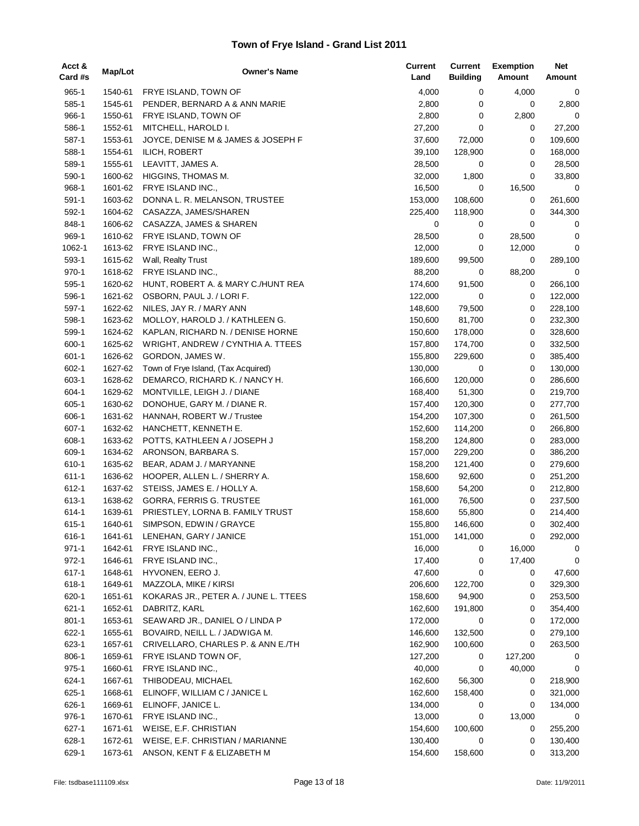| Acct &<br>Card #s | Map/Lot | <b>Owner's Name</b>                   | <b>Current</b><br>Land | <b>Current</b><br><b>Building</b> | <b>Exemption</b><br>Amount | Net<br>Amount |
|-------------------|---------|---------------------------------------|------------------------|-----------------------------------|----------------------------|---------------|
| $965 - 1$         | 1540-61 | FRYE ISLAND, TOWN OF                  | 4,000                  | 0                                 | 4,000                      | 0             |
| 585-1             | 1545-61 | PENDER, BERNARD A & ANN MARIE         | 2,800                  | 0                                 | 0                          | 2,800         |
| 966-1             | 1550-61 | FRYE ISLAND, TOWN OF                  | 2,800                  | 0                                 | 2,800                      | 0             |
| 586-1             | 1552-61 | MITCHELL, HAROLD I.                   | 27,200                 | 0                                 | 0                          | 27,200        |
| 587-1             | 1553-61 | JOYCE, DENISE M & JAMES & JOSEPH F    | 37,600                 | 72,000                            | 0                          | 109,600       |
| 588-1             | 1554-61 | ILICH, ROBERT                         | 39,100                 | 128,900                           | 0                          | 168,000       |
| 589-1             | 1555-61 | LEAVITT, JAMES A.                     | 28,500                 | 0                                 | 0                          | 28,500        |
| 590-1             | 1600-62 | HIGGINS, THOMAS M.                    | 32,000                 | 1,800                             | 0                          | 33,800        |
| 968-1             | 1601-62 | FRYE ISLAND INC.,                     | 16,500                 | 0                                 | 16,500                     | 0             |
| 591-1             | 1603-62 | DONNA L. R. MELANSON, TRUSTEE         | 153,000                | 108,600                           | 0                          | 261,600       |
| 592-1             | 1604-62 | CASAZZA, JAMES/SHAREN                 | 225,400                | 118,900                           | 0                          | 344,300       |
| 848-1             | 1606-62 | CASAZZA, JAMES & SHAREN               | 0                      | 0                                 | 0                          | 0             |
| 969-1             | 1610-62 | FRYE ISLAND, TOWN OF                  | 28,500                 | 0                                 | 28,500                     | 0             |
| 1062-1            | 1613-62 | FRYE ISLAND INC.,                     | 12,000                 | 0                                 | 12,000                     | 0             |
| 593-1             | 1615-62 | Wall, Realty Trust                    | 189,600                | 99,500                            | 0                          | 289,100       |
| 970-1             | 1618-62 | FRYE ISLAND INC.,                     | 88,200                 | 0                                 | 88,200                     | 0             |
| 595-1             | 1620-62 | HUNT, ROBERT A. & MARY C./HUNT REA    | 174,600                | 91,500                            | 0                          | 266,100       |
| 596-1             | 1621-62 | OSBORN, PAUL J. / LORI F.             | 122,000                | 0                                 | 0                          | 122,000       |
| 597-1             | 1622-62 | NILES, JAY R. / MARY ANN              | 148,600                | 79,500                            | 0                          | 228,100       |
| 598-1             | 1623-62 | MOLLOY, HAROLD J. / KATHLEEN G.       | 150,600                | 81,700                            | 0                          | 232,300       |
| 599-1             | 1624-62 | KAPLAN, RICHARD N. / DENISE HORNE     | 150,600                | 178,000                           | 0                          | 328,600       |
| 600-1             | 1625-62 | WRIGHT, ANDREW / CYNTHIA A. TTEES     | 157,800                | 174,700                           | 0                          | 332,500       |
| $601 - 1$         | 1626-62 | GORDON, JAMES W.                      | 155,800                | 229,600                           | 0                          | 385,400       |
| 602-1             | 1627-62 | Town of Frye Island, (Tax Acquired)   | 130,000                | 0                                 | 0                          | 130,000       |
| 603-1             | 1628-62 | DEMARCO, RICHARD K. / NANCY H.        | 166,600                | 120,000                           | 0                          | 286,600       |
| 604-1             | 1629-62 | MONTVILLE, LEIGH J. / DIANE           | 168,400                | 51,300                            | 0                          | 219,700       |
| 605-1             | 1630-62 | DONOHUE, GARY M. / DIANE R.           | 157,400                | 120,300                           | 0                          | 277,700       |
| 606-1             | 1631-62 | HANNAH, ROBERT W./ Trustee            | 154,200                | 107,300                           | 0                          | 261,500       |
| 607-1             | 1632-62 | HANCHETT, KENNETH E.                  | 152,600                | 114,200                           | 0                          | 266,800       |
| 608-1             | 1633-62 | POTTS, KATHLEEN A / JOSEPH J          | 158,200                | 124,800                           | 0                          | 283,000       |
| 609-1             | 1634-62 | ARONSON, BARBARA S.                   | 157,000                | 229,200                           | 0                          | 386,200       |
| 610-1             | 1635-62 | BEAR, ADAM J. / MARYANNE              | 158,200                | 121,400                           | 0                          | 279,600       |
| $611 - 1$         | 1636-62 | HOOPER, ALLEN L. / SHERRY A.          | 158,600                | 92,600                            | 0                          | 251,200       |
| 612-1             | 1637-62 | STEISS, JAMES E. / HOLLY A.           | 158,600                | 54,200                            | 0                          | 212,800       |
| 613-1             | 1638-62 | GORRA, FERRIS G. TRUSTEE              | 161,000                | 76,500                            | 0                          | 237,500       |
| 614-1             | 1639-61 | PRIESTLEY, LORNA B. FAMILY TRUST      | 158,600                | 55,800                            | 0                          | 214,400       |
| 615-1             | 1640-61 | SIMPSON, EDWIN / GRAYCE               | 155,800                | 146,600                           | 0                          | 302,400       |
| 616-1             | 1641-61 | LENEHAN, GARY / JANICE                | 151,000                | 141,000                           | 0                          | 292,000       |
| $971-1$           | 1642-61 | FRYE ISLAND INC.,                     | 16,000                 | 0                                 | 16,000                     | 0             |
| 972-1             | 1646-61 | FRYE ISLAND INC.,                     | 17,400                 | 0                                 | 17,400                     | 0             |
| 617-1             | 1648-61 | HYVONEN, EERO J.                      | 47,600                 | 0                                 | 0                          | 47,600        |
| 618-1             | 1649-61 | MAZZOLA, MIKE / KIRSI                 | 206,600                | 122,700                           | 0                          | 329,300       |
| 620-1             | 1651-61 | KOKARAS JR., PETER A. / JUNE L. TTEES | 158,600                | 94,900                            | 0                          | 253,500       |
| $621 - 1$         | 1652-61 | DABRITZ, KARL                         | 162,600                | 191,800                           | 0                          | 354,400       |
| $801 - 1$         | 1653-61 | SEAWARD JR., DANIEL O / LINDA P       | 172,000                | 0                                 | 0                          | 172,000       |
| 622-1             | 1655-61 | BOVAIRD, NEILL L. / JADWIGA M.        | 146,600                | 132,500                           | 0                          | 279,100       |
| 623-1             | 1657-61 | CRIVELLARO, CHARLES P. & ANN E./TH    | 162,900                | 100,600                           | 0                          | 263,500       |
| 806-1             | 1659-61 | FRYE ISLAND TOWN OF,                  | 127,200                | 0                                 | 127,200                    | 0             |
| $975 - 1$         | 1660-61 | FRYE ISLAND INC.,                     | 40,000                 | 0                                 | 40,000                     | 0             |
| 624-1             | 1667-61 | THIBODEAU, MICHAEL                    | 162,600                | 56,300                            | 0                          | 218,900       |
| 625-1             | 1668-61 | ELINOFF, WILLIAM C / JANICE L         | 162,600                | 158,400                           | 0                          | 321,000       |
| 626-1             | 1669-61 | ELINOFF, JANICE L.                    | 134,000                | 0                                 | 0                          | 134,000       |
| 976-1             | 1670-61 | FRYE ISLAND INC.,                     | 13,000                 | 0                                 | 13,000                     | 0             |
| 627-1             | 1671-61 | WEISE, E.F. CHRISTIAN                 | 154,600                | 100,600                           | 0                          | 255,200       |
| 628-1             | 1672-61 | WEISE, E.F. CHRISTIAN / MARIANNE      | 130,400                | 0                                 | 0                          | 130,400       |
| 629-1             | 1673-61 | ANSON, KENT F & ELIZABETH M           | 154,600                | 158,600                           | 0                          | 313,200       |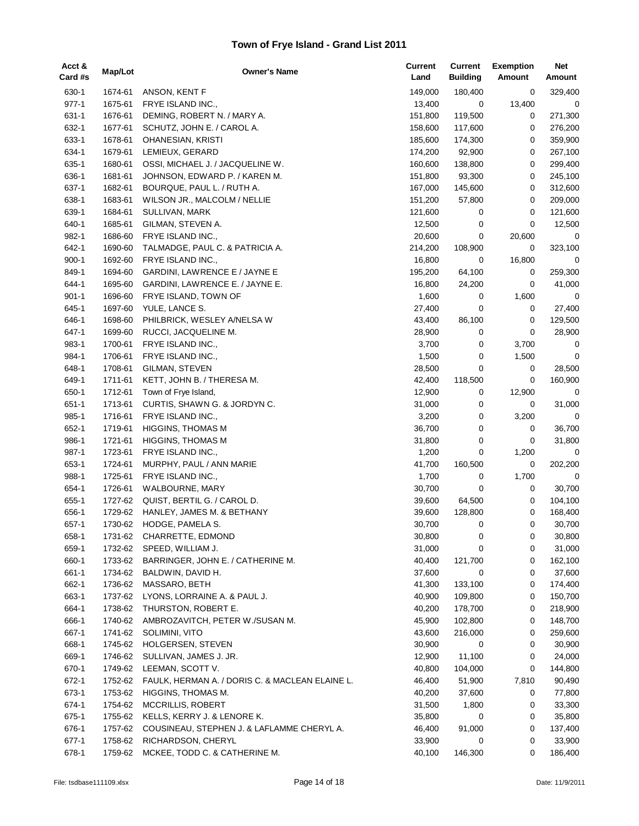| Acct &<br>Card #s | Map/Lot | <b>Owner's Name</b>                             | <b>Current</b><br>Land | <b>Current</b><br><b>Building</b> | <b>Exemption</b><br>Amount | Net<br>Amount |
|-------------------|---------|-------------------------------------------------|------------------------|-----------------------------------|----------------------------|---------------|
| 630-1             | 1674-61 | ANSON, KENT F                                   | 149,000                | 180,400                           | 0                          | 329,400       |
| $977-1$           | 1675-61 | FRYE ISLAND INC.,                               | 13,400                 | 0                                 | 13,400                     | 0             |
| 631-1             | 1676-61 | DEMING, ROBERT N. / MARY A.                     | 151,800                | 119,500                           | 0                          | 271,300       |
| 632-1             | 1677-61 | SCHUTZ, JOHN E. / CAROL A.                      | 158,600                | 117,600                           | 0                          | 276,200       |
| 633-1             | 1678-61 | OHANESIAN, KRISTI                               | 185,600                | 174,300                           | 0                          | 359,900       |
| 634-1             | 1679-61 | LEMIEUX, GERARD                                 | 174,200                | 92,900                            | 0                          | 267,100       |
| 635-1             | 1680-61 | OSSI, MICHAEL J. / JACQUELINE W.                | 160,600                | 138,800                           | 0                          | 299,400       |
| 636-1             | 1681-61 | JOHNSON, EDWARD P. / KAREN M.                   | 151,800                | 93,300                            | 0                          | 245,100       |
| 637-1             | 1682-61 | BOURQUE, PAUL L. / RUTH A.                      | 167,000                | 145,600                           | 0                          | 312,600       |
| 638-1             | 1683-61 | WILSON JR., MALCOLM / NELLIE                    | 151,200                | 57,800                            | 0                          | 209,000       |
| 639-1             | 1684-61 | SULLIVAN, MARK                                  | 121,600                | 0                                 | 0                          | 121,600       |
| 640-1             | 1685-61 | GILMAN, STEVEN A.                               | 12,500                 | 0                                 | 0                          | 12,500        |
| 982-1             | 1686-60 | FRYE ISLAND INC.,                               | 20,600                 | 0                                 | 20,600                     | 0             |
| 642-1             | 1690-60 | TALMADGE, PAUL C. & PATRICIA A.                 | 214,200                | 108,900                           | 0                          | 323,100       |
| $900-1$           | 1692-60 | FRYE ISLAND INC.,                               | 16,800                 | 0                                 | 16,800                     | 0             |
| 849-1             | 1694-60 | GARDINI, LAWRENCE E / JAYNE E                   | 195,200                | 64,100                            | 0                          | 259,300       |
| 644-1             | 1695-60 | GARDINI, LAWRENCE E. / JAYNE E.                 | 16,800                 | 24,200                            | 0                          | 41,000        |
| $901 - 1$         | 1696-60 | FRYE ISLAND, TOWN OF                            | 1,600                  | 0                                 | 1,600                      | 0             |
| 645-1             | 1697-60 | YULE, LANCE S.                                  | 27,400                 | 0                                 | 0                          | 27,400        |
| 646-1             | 1698-60 | PHILBRICK, WESLEY A/NELSA W                     | 43,400                 | 86,100                            | 0                          | 129,500       |
| 647-1             | 1699-60 | RUCCI, JACQUELINE M.                            | 28,900                 | 0                                 | 0                          | 28,900        |
| 983-1             | 1700-61 | FRYE ISLAND INC.,                               | 3,700                  | 0                                 | 3,700                      | 0             |
| 984-1             | 1706-61 | FRYE ISLAND INC.,                               | 1,500                  | 0                                 | 1,500                      | 0             |
| 648-1             | 1708-61 | GILMAN, STEVEN                                  | 28,500                 | 0                                 | 0                          | 28,500        |
| 649-1             | 1711-61 | KETT, JOHN B. / THERESA M.                      | 42,400                 | 118,500                           | 0                          | 160,900       |
| 650-1             | 1712-61 | Town of Frye Island,                            | 12,900                 | 0                                 | 12,900                     | 0             |
| $651 - 1$         | 1713-61 | CURTIS, SHAWN G. & JORDYN C.                    | 31,000                 | 0                                 | 0                          | 31,000        |
| 985-1             | 1716-61 | FRYE ISLAND INC.,                               | 3,200                  | 0                                 | 3,200                      | 0             |
| 652-1             | 1719-61 | <b>HIGGINS, THOMAS M</b>                        | 36,700                 | 0                                 | 0                          | 36,700        |
| 986-1             | 1721-61 | HIGGINS, THOMAS M                               | 31,800                 | 0                                 | 0                          | 31,800        |
| 987-1             | 1723-61 | FRYE ISLAND INC.,                               | 1,200                  | 0                                 | 1,200                      | 0             |
| 653-1             | 1724-61 | MURPHY, PAUL / ANN MARIE                        | 41,700                 | 160,500                           | 0                          | 202,200       |
| 988-1             | 1725-61 | FRYE ISLAND INC.,                               | 1,700                  | 0                                 | 1,700                      | 0             |
| 654-1             | 1726-61 | WALBOURNE, MARY                                 | 30,700                 | 0                                 | 0                          | 30,700        |
| $655 - 1$         | 1727-62 | QUIST, BERTIL G. / CAROL D.                     | 39,600                 | 64,500                            | 0                          | 104,100       |
| 656-1             | 1729-62 | HANLEY, JAMES M. & BETHANY                      | 39,600                 | 128,800                           | 0                          | 168,400       |
| $657 - 1$         | 1730-62 | HODGE, PAMELA S.                                | 30,700                 | 0                                 | 0                          | 30,700        |
| 658-1             | 1731-62 | CHARRETTE, EDMOND                               | 30,800                 | 0                                 | 0                          | 30,800        |
| 659-1             | 1732-62 | SPEED, WILLIAM J.                               | 31,000                 | 0                                 | 0                          | 31,000        |
| 660-1             | 1733-62 | BARRINGER, JOHN E. / CATHERINE M.               | 40,400                 | 121,700                           | 0                          | 162,100       |
| 661-1             | 1734-62 | BALDWIN, DAVID H.                               | 37,600                 | 0                                 | 0                          | 37,600        |
| 662-1             | 1736-62 | MASSARO, BETH                                   | 41,300                 | 133,100                           | 0                          | 174,400       |
| 663-1             | 1737-62 | LYONS, LORRAINE A. & PAUL J.                    | 40,900                 | 109,800                           | 0                          | 150,700       |
| 664-1             | 1738-62 | THURSTON, ROBERT E.                             | 40,200                 | 178,700                           | 0                          | 218,900       |
| 666-1             | 1740-62 | AMBROZAVITCH, PETER W./SUSAN M.                 | 45,900                 | 102,800                           | 0                          | 148,700       |
| 667-1             | 1741-62 | SOLIMINI, VITO                                  | 43,600                 | 216,000                           | 0                          | 259,600       |
| 668-1             | 1745-62 | HOLGERSEN, STEVEN                               | 30,900                 | 0                                 | 0                          | 30,900        |
| 669-1             | 1746-62 | SULLIVAN, JAMES J. JR.                          | 12,900                 | 11,100                            | 0                          | 24,000        |
| 670-1             | 1749-62 | LEEMAN, SCOTT V.                                | 40,800                 | 104,000                           | 0                          | 144,800       |
| 672-1             | 1752-62 | FAULK, HERMAN A. / DORIS C. & MACLEAN ELAINE L. | 46,400                 | 51,900                            | 7,810                      | 90,490        |
| 673-1             | 1753-62 | HIGGINS, THOMAS M.                              | 40,200                 | 37,600                            | 0                          | 77,800        |
| 674-1             | 1754-62 | MCCRILLIS, ROBERT                               | 31,500                 | 1,800                             | 0                          | 33,300        |
| 675-1             | 1755-62 | KELLS, KERRY J. & LENORE K.                     | 35,800                 | 0                                 | 0                          | 35,800        |
| 676-1             | 1757-62 | COUSINEAU, STEPHEN J. & LAFLAMME CHERYL A.      | 46,400                 | 91,000                            | 0                          | 137,400       |
| 677-1             | 1758-62 | RICHARDSON, CHERYL                              | 33,900                 | 0                                 | 0                          | 33,900        |
| 678-1             | 1759-62 | MCKEE, TODD C. & CATHERINE M.                   | 40,100                 | 146,300                           | 0                          | 186,400       |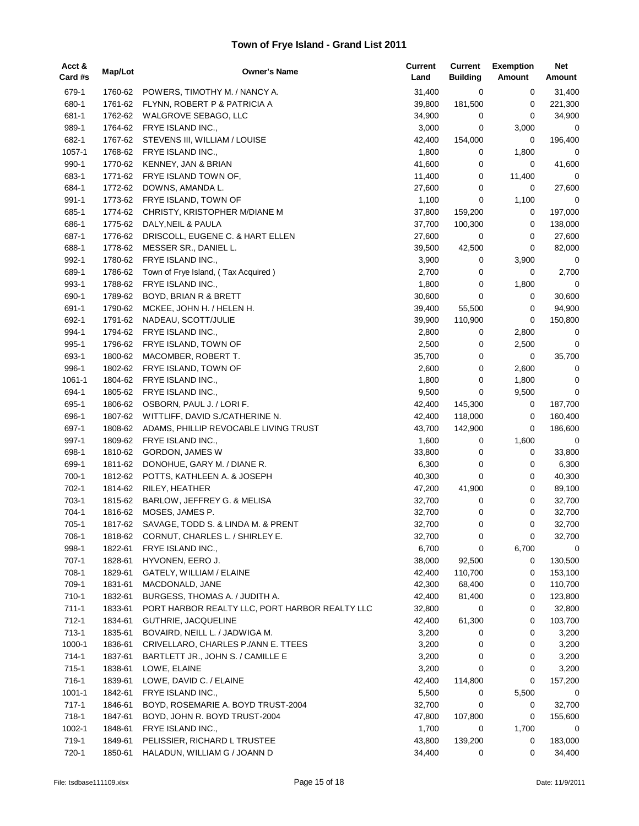| Acct &<br>Card #s | Map/Lot | <b>Owner's Name</b>                            | <b>Current</b><br>Land | <b>Current</b><br><b>Building</b> | <b>Exemption</b><br>Amount | Net<br>Amount |
|-------------------|---------|------------------------------------------------|------------------------|-----------------------------------|----------------------------|---------------|
| 679-1             | 1760-62 | POWERS, TIMOTHY M. / NANCY A.                  | 31,400                 | 0                                 | 0                          | 31,400        |
| 680-1             | 1761-62 | FLYNN, ROBERT P & PATRICIA A                   | 39,800                 | 181,500                           | 0                          | 221,300       |
| 681-1             | 1762-62 | WALGROVE SEBAGO, LLC                           | 34,900                 | 0                                 | 0                          | 34,900        |
| 989-1             | 1764-62 | FRYE ISLAND INC.,                              | 3,000                  | 0                                 | 3,000                      | $\mathbf 0$   |
| 682-1             | 1767-62 | STEVENS III, WILLIAM / LOUISE                  | 42,400                 | 154,000                           | 0                          | 196,400       |
| 1057-1            | 1768-62 | FRYE ISLAND INC.,                              | 1,800                  | 0                                 | 1,800                      | 0             |
| 990-1             | 1770-62 | KENNEY, JAN & BRIAN                            | 41,600                 | 0                                 | 0                          | 41,600        |
| 683-1             | 1771-62 | FRYE ISLAND TOWN OF,                           | 11,400                 | 0                                 | 11,400                     | 0             |
| 684-1             | 1772-62 | DOWNS, AMANDA L.                               | 27,600                 | 0                                 | 0                          | 27,600        |
| 991-1             | 1773-62 | FRYE ISLAND, TOWN OF                           | 1,100                  | 0                                 | 1,100                      | 0             |
| 685-1             | 1774-62 | CHRISTY, KRISTOPHER M/DIANE M                  | 37,800                 | 159,200                           | 0                          | 197,000       |
| 686-1             | 1775-62 | DALY, NEIL & PAULA                             | 37,700                 | 100,300                           | 0                          | 138,000       |
| 687-1             | 1776-62 | DRISCOLL, EUGENE C. & HART ELLEN               | 27,600                 | 0                                 | 0                          | 27,600        |
| 688-1             | 1778-62 | MESSER SR., DANIEL L.                          | 39,500                 | 42,500                            | 0                          | 82,000        |
| 992-1             | 1780-62 | FRYE ISLAND INC.,                              | 3,900                  | 0                                 | 3,900                      | 0             |
| 689-1             | 1786-62 | Town of Frye Island, (Tax Acquired)            | 2,700                  | 0                                 | 0                          | 2,700         |
| 993-1             | 1788-62 | FRYE ISLAND INC.,                              | 1,800                  | 0                                 | 1,800                      | 0             |
| 690-1             | 1789-62 | BOYD, BRIAN R & BRETT                          | 30,600                 | 0                                 | 0                          | 30,600        |
| 691-1             | 1790-62 | MCKEE, JOHN H. / HELEN H.                      | 39,400                 | 55,500                            | 0                          | 94,900        |
| 692-1             | 1791-62 | NADEAU, SCOTT/JULIE                            | 39,900                 | 110,900                           | 0                          | 150,800       |
| 994-1             | 1794-62 | FRYE ISLAND INC.,                              | 2,800                  | 0                                 | 2,800                      | 0             |
| 995-1             | 1796-62 | FRYE ISLAND, TOWN OF                           | 2,500                  | 0                                 | 2,500                      | 0             |
| 693-1             | 1800-62 | MACOMBER, ROBERT T.                            | 35,700                 | 0                                 | 0                          | 35,700        |
| 996-1             | 1802-62 | FRYE ISLAND, TOWN OF                           | 2,600                  | 0                                 | 2,600                      | 0             |
| 1061-1            | 1804-62 | FRYE ISLAND INC.,                              | 1,800                  | 0                                 | 1,800                      | 0             |
| 694-1             | 1805-62 | FRYE ISLAND INC.,                              | 9,500                  | 0                                 | 9,500                      | 0             |
| 695-1             | 1806-62 | OSBORN, PAUL J. / LORI F.                      | 42,400                 | 145,300                           | 0                          | 187,700       |
| 696-1             | 1807-62 | WITTLIFF, DAVID S./CATHERINE N.                | 42,400                 | 118,000                           | 0                          | 160,400       |
| 697-1             | 1808-62 | ADAMS, PHILLIP REVOCABLE LIVING TRUST          | 43,700                 | 142,900                           | 0                          | 186,600       |
| 997-1             | 1809-62 | FRYE ISLAND INC.,                              | 1,600                  | 0                                 | 1,600                      | 0             |
| 698-1             | 1810-62 | <b>GORDON, JAMES W</b>                         | 33,800                 | 0                                 | 0                          | 33,800        |
| 699-1             | 1811-62 | DONOHUE, GARY M. / DIANE R.                    | 6,300                  | 0                                 | 0                          | 6,300         |
| 700-1             | 1812-62 | POTTS, KATHLEEN A. & JOSEPH                    | 40,300                 | 0                                 | 0                          | 40,300        |
| 702-1             | 1814-62 | RILEY, HEATHER                                 | 47,200                 | 41,900                            | 0                          | 89,100        |
| 703-1             | 1815-62 | BARLOW, JEFFREY G. & MELISA                    | 32,700                 | 0                                 | 0                          | 32,700        |
| 704-1             | 1816-62 | MOSES, JAMES P.                                | 32,700                 | 0                                 | 0                          | 32,700        |
| 705-1             | 1817-62 | SAVAGE, TODD S. & LINDA M. & PRENT             | 32,700                 | 0                                 | $\mathbf 0$                | 32,700        |
| 706-1             | 1818-62 | CORNUT, CHARLES L. / SHIRLEY E.                | 32,700                 | 0                                 | 0                          | 32,700        |
| 998-1             | 1822-61 | FRYE ISLAND INC.,                              | 6,700                  | 0                                 | 6,700                      | 0             |
| 707-1             | 1828-61 | HYVONEN, EERO J.                               | 38,000                 | 92,500                            | 0                          | 130,500       |
| 708-1             | 1829-61 | GATELY, WILLIAM / ELAINE                       | 42,400                 | 110,700                           | 0                          | 153,100       |
| 709-1             | 1831-61 | MACDONALD, JANE                                | 42,300                 | 68,400                            | 0                          | 110,700       |
| 710-1             | 1832-61 | BURGESS, THOMAS A. / JUDITH A.                 | 42,400                 | 81,400                            | 0                          | 123,800       |
| $711 - 1$         | 1833-61 | PORT HARBOR REALTY LLC, PORT HARBOR REALTY LLC | 32,800                 | 0                                 | 0                          | 32,800        |
| 712-1             | 1834-61 | GUTHRIE, JACQUELINE                            | 42,400                 | 61,300                            | 0                          | 103,700       |
| 713-1             | 1835-61 | BOVAIRD, NEILL L. / JADWIGA M.                 | 3,200                  | 0                                 | 0                          | 3,200         |
| 1000-1            | 1836-61 | CRIVELLARO, CHARLES P./ANN E. TTEES            | 3,200                  | 0                                 | 0                          | 3,200         |
| 714-1             | 1837-61 | BARTLETT JR., JOHN S. / CAMILLE E              | 3,200                  | 0                                 | 0                          | 3,200         |
| 715-1             | 1838-61 | LOWE, ELAINE                                   | 3,200                  | 0                                 | 0                          | 3,200         |
| 716-1             | 1839-61 | LOWE, DAVID C. / ELAINE                        | 42,400                 | 114,800                           | 0                          | 157,200       |
| $1001 - 1$        | 1842-61 | FRYE ISLAND INC.,                              | 5,500                  | 0                                 | 5,500                      | 0             |
| 717-1             | 1846-61 | BOYD, ROSEMARIE A. BOYD TRUST-2004             | 32,700                 | 0                                 | 0                          | 32,700        |
| 718-1             | 1847-61 | BOYD, JOHN R. BOYD TRUST-2004                  | 47,800                 | 107,800                           | 0                          | 155,600       |
| 1002-1            | 1848-61 | FRYE ISLAND INC.,                              | 1,700                  | 0                                 | 1,700                      | 0             |
| 719-1             | 1849-61 | PELISSIER, RICHARD L TRUSTEE                   | 43,800                 | 139,200                           | 0                          | 183,000       |
| 720-1             | 1850-61 | HALADUN, WILLIAM G / JOANN D                   | 34,400                 | 0                                 | 0                          | 34,400        |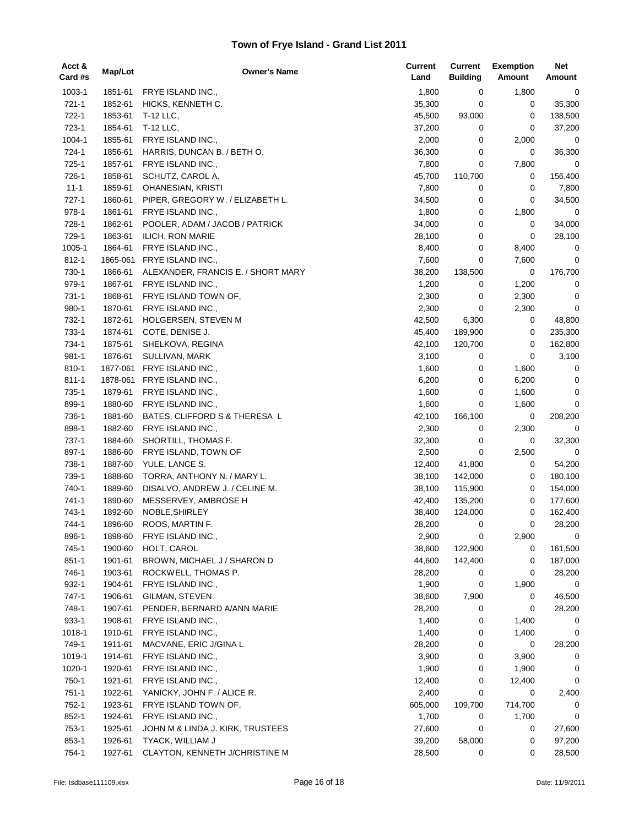| Acct &<br>Card #s | Map/Lot  | <b>Owner's Name</b>                | Current<br>Land | <b>Current</b><br><b>Building</b> | <b>Exemption</b><br>Amount | <b>Net</b><br>Amount |
|-------------------|----------|------------------------------------|-----------------|-----------------------------------|----------------------------|----------------------|
| 1003-1            | 1851-61  | FRYE ISLAND INC.,                  | 1,800           | 0                                 | 1,800                      | 0                    |
| $721-1$           | 1852-61  | HICKS, KENNETH C.                  | 35,300          | 0                                 | 0                          | 35,300               |
| 722-1             | 1853-61  | T-12 LLC,                          | 45,500          | 93,000                            | 0                          | 138,500              |
| 723-1             | 1854-61  | T-12 LLC,                          | 37,200          | 0                                 | 0                          | 37,200               |
| 1004-1            | 1855-61  | FRYE ISLAND INC.,                  | 2,000           | 0                                 | 2,000                      | 0                    |
| 724-1             | 1856-61  | HARRIS, DUNCAN B. / BETH O.        | 36,300          | 0                                 | 0                          | 36,300               |
| 725-1             | 1857-61  | FRYE ISLAND INC.,                  | 7,800           | 0                                 | 7,800                      | 0                    |
| 726-1             | 1858-61  | SCHUTZ, CAROL A.                   | 45,700          | 110,700                           | 0                          | 156,400              |
| $11 - 1$          | 1859-61  | OHANESIAN, KRISTI                  | 7,800           | 0                                 | 0                          | 7,800                |
| 727-1             | 1860-61  | PIPER, GREGORY W. / ELIZABETH L.   | 34,500          | 0                                 | 0                          | 34,500               |
| 978-1             | 1861-61  | FRYE ISLAND INC.,                  | 1,800           | 0                                 | 1,800                      | 0                    |
| 728-1             | 1862-61  | POOLER, ADAM / JACOB / PATRICK     | 34,000          | 0                                 | 0                          | 34,000               |
| 729-1             | 1863-61  | <b>ILICH, RON MARIE</b>            | 28,100          | 0                                 | 0                          | 28,100               |
| 1005-1            | 1864-61  | FRYE ISLAND INC.,                  | 8,400           | 0                                 | 8,400                      | 0                    |
| 812-1             | 1865-061 | FRYE ISLAND INC.,                  | 7,600           | 0                                 | 7,600                      | 0                    |
| 730-1             | 1866-61  | ALEXANDER, FRANCIS E. / SHORT MARY | 38,200          | 138,500                           | 0                          | 176,700              |
| 979-1             | 1867-61  | FRYE ISLAND INC.,                  | 1,200           | 0                                 | 1,200                      | 0                    |
| 731-1             | 1868-61  | FRYE ISLAND TOWN OF,               | 2,300           | 0                                 | 2,300                      | 0                    |
| 980-1             | 1870-61  | FRYE ISLAND INC.,                  | 2,300           | 0                                 | 2,300                      | 0                    |
| 732-1             | 1872-61  | HOLGERSEN, STEVEN M                | 42,500          | 6,300                             | 0                          | 48,800               |
| 733-1             | 1874-61  | COTE, DENISE J.                    | 45,400          | 189,900                           | 0                          | 235,300              |
| 734-1             | 1875-61  | SHELKOVA, REGINA                   | 42,100          | 120,700                           | 0                          | 162,800              |
| 981-1             | 1876-61  | SULLIVAN, MARK                     | 3,100           | 0                                 | 0                          | 3,100                |
| 810-1             | 1877-061 | FRYE ISLAND INC.,                  | 1,600           | 0                                 | 1,600                      | 0                    |
| $811 - 1$         | 1878-061 | FRYE ISLAND INC.,                  | 6,200           | 0                                 | 6,200                      | 0                    |
| 735-1             | 1879-61  | FRYE ISLAND INC.,                  | 1,600           | 0                                 | 1,600                      | 0                    |
| 899-1             | 1880-60  | FRYE ISLAND INC.,                  | 1,600           | 0                                 | 1,600                      | 0                    |
| 736-1             | 1881-60  | BATES, CLIFFORD S & THERESA L      | 42,100          | 166,100                           | 0                          | 208,200              |
| 898-1             | 1882-60  | FRYE ISLAND INC.,                  | 2,300           | 0                                 | 2,300                      | 0                    |
| 737-1             | 1884-60  | SHORTILL, THOMAS F.                | 32,300          | 0                                 | 0                          | 32,300               |
| 897-1             | 1886-60  | FRYE ISLAND, TOWN OF               | 2,500           | 0                                 | 2,500                      | 0                    |
| 738-1             | 1887-60  | YULE, LANCE S.                     | 12,400          | 41,800                            | 0                          | 54,200               |
| 739-1             | 1888-60  | TORRA, ANTHONY N. / MARY L.        | 38,100          | 142,000                           | 0                          | 180,100              |
| 740-1             | 1889-60  | DISALVO, ANDREW J. / CELINE M.     | 38,100          | 115,900                           | 0                          | 154,000              |
| 741-1             | 1890-60  | MESSERVEY, AMBROSE H               | 42,400          | 135,200                           | 0                          | 177,600              |
| 743-1             | 1892-60  | NOBLE, SHIRLEY                     | 38,400          | 124,000                           | 0                          | 162,400              |
| 744-1             | 1896-60  | ROOS, MARTIN F.                    | 28,200          | 0                                 | 0                          | 28,200               |
| 896-1             | 1898-60  | FRYE ISLAND INC.,                  | 2,900           | 0                                 | 2,900                      | 0                    |
| 745-1             | 1900-60  | HOLT, CAROL                        | 38,600          | 122,900                           | 0                          | 161,500              |
| $851 - 1$         | 1901-61  | BROWN, MICHAEL J / SHARON D        | 44,600          | 142,400                           | 0                          | 187,000              |
| 746-1             | 1903-61  | ROCKWELL, THOMAS P.                | 28,200          | 0                                 | 0                          | 28,200               |
| 932-1             | 1904-61  | FRYE ISLAND INC.,                  | 1,900           | 0                                 | 1,900                      | 0                    |
| 747-1             | 1906-61  | GILMAN, STEVEN                     | 38,600          | 7,900                             | 0                          | 46,500               |
| 748-1             | 1907-61  | PENDER, BERNARD A/ANN MARIE        | 28,200          | 0                                 | 0                          | 28,200               |
| $933-1$           | 1908-61  | FRYE ISLAND INC.,                  | 1,400           | 0                                 | 1,400                      | 0                    |
| 1018-1            | 1910-61  | FRYE ISLAND INC.,                  | 1,400           | 0                                 | 1,400                      | 0                    |
| 749-1             | 1911-61  | MACVANE, ERIC J/GINA L             | 28,200          | 0                                 | 0                          | 28,200               |
| 1019-1            | 1914-61  | FRYE ISLAND INC.,                  | 3,900           | 0                                 | 3,900                      | 0                    |
| 1020-1            | 1920-61  | FRYE ISLAND INC.,                  | 1,900           | 0                                 | 1,900                      | 0                    |
| 750-1             | 1921-61  | FRYE ISLAND INC.,                  | 12,400          | 0                                 | 12,400                     | 0                    |
| $751-1$           | 1922-61  | YANICKY, JOHN F. / ALICE R.        | 2,400           | 0                                 | $\mathbf 0$                | 2,400                |
| 752-1             | 1923-61  | FRYE ISLAND TOWN OF,               | 605,000         | 109,700                           | 714,700                    | 0                    |
| 852-1             | 1924-61  | FRYE ISLAND INC.,                  | 1,700           | 0                                 | 1,700                      | 0                    |
| 753-1             | 1925-61  | JOHN M & LINDA J. KIRK, TRUSTEES   | 27,600          | 0                                 | 0                          | 27,600               |
| 853-1             | 1926-61  | TYACK, WILLIAM J                   | 39,200          | 58,000                            | 0                          | 97,200               |
| 754-1             | 1927-61  | CLAYTON, KENNETH J/CHRISTINE M     | 28,500          | 0                                 | 0                          | 28,500               |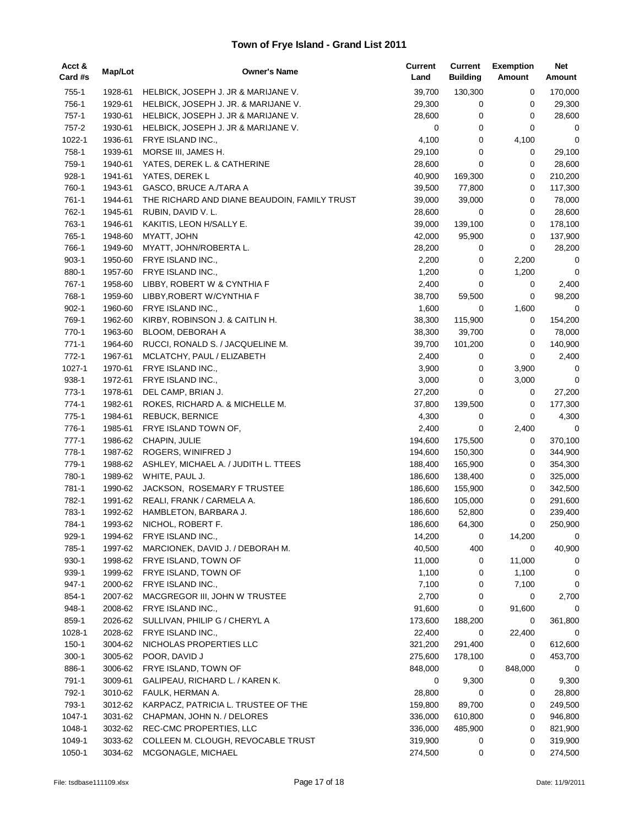| Acct &<br>Card #s | Map/Lot | <b>Owner's Name</b>                          | Current<br>Land | <b>Current</b><br><b>Building</b> | <b>Exemption</b><br>Amount | <b>Net</b><br>Amount |
|-------------------|---------|----------------------------------------------|-----------------|-----------------------------------|----------------------------|----------------------|
| 755-1             | 1928-61 | HELBICK, JOSEPH J. JR & MARIJANE V.          | 39,700          | 130,300                           | 0                          | 170,000              |
| 756-1             | 1929-61 | HELBICK, JOSEPH J. JR. & MARIJANE V.         | 29,300          | 0                                 | 0                          | 29,300               |
| $757-1$           | 1930-61 | HELBICK, JOSEPH J. JR & MARIJANE V.          | 28,600          | 0                                 | 0                          | 28,600               |
| 757-2             | 1930-61 | HELBICK, JOSEPH J. JR & MARIJANE V.          | 0               | 0                                 | 0                          | 0                    |
| 1022-1            | 1936-61 | FRYE ISLAND INC.,                            | 4,100           | 0                                 | 4,100                      | 0                    |
| 758-1             | 1939-61 | MORSE III, JAMES H.                          | 29,100          | 0                                 | 0                          | 29,100               |
| 759-1             | 1940-61 | YATES, DEREK L. & CATHERINE                  | 28,600          | 0                                 | 0                          | 28,600               |
| $928 - 1$         | 1941-61 | YATES, DEREK L                               | 40,900          | 169,300                           | 0                          | 210,200              |
| 760-1             | 1943-61 | GASCO, BRUCE A./TARA A                       | 39,500          | 77,800                            | 0                          | 117,300              |
| 761-1             | 1944-61 | THE RICHARD AND DIANE BEAUDOIN, FAMILY TRUST | 39,000          | 39,000                            | 0                          | 78,000               |
| 762-1             | 1945-61 | RUBIN, DAVID V. L.                           | 28,600          | 0                                 | 0                          | 28,600               |
| 763-1             | 1946-61 | KAKITIS, LEON H/SALLY E.                     | 39,000          | 139,100                           | 0                          | 178,100              |
| 765-1             | 1948-60 | MYATT, JOHN                                  | 42,000          | 95,900                            | 0                          | 137,900              |
| 766-1             | 1949-60 | MYATT, JOHN/ROBERTA L.                       | 28,200          | 0                                 | 0                          | 28,200               |
| $903-1$           | 1950-60 | FRYE ISLAND INC.,                            | 2,200           | 0                                 | 2,200                      | 0                    |
| 880-1             | 1957-60 | FRYE ISLAND INC.,                            | 1,200           | 0                                 | 1,200                      | 0                    |
| 767-1             | 1958-60 | LIBBY, ROBERT W & CYNTHIA F                  | 2,400           | 0                                 | 0                          | 2,400                |
| 768-1             | 1959-60 | LIBBY, ROBERT W/CYNTHIA F                    | 38,700          | 59,500                            | 0                          | 98,200               |
| $902 - 1$         | 1960-60 | FRYE ISLAND INC.,                            | 1,600           | 0                                 | 1,600                      | 0                    |
| 769-1             | 1962-60 | KIRBY, ROBINSON J. & CAITLIN H.              | 38,300          | 115,900                           | 0                          | 154,200              |
| 770-1             | 1963-60 | BLOOM, DEBORAH A                             | 38,300          | 39,700                            | 0                          | 78,000               |
| $771-1$           | 1964-60 | RUCCI, RONALD S. / JACQUELINE M.             | 39,700          | 101,200                           | 0                          | 140,900              |
| $772-1$           | 1967-61 | MCLATCHY, PAUL / ELIZABETH                   | 2,400           | 0                                 | 0                          | 2,400                |
| 1027-1            | 1970-61 | FRYE ISLAND INC.,                            | 3,900           | 0                                 | 3,900                      | 0                    |
| 938-1             | 1972-61 | FRYE ISLAND INC.,                            | 3,000           | 0                                 | 3,000                      | 0                    |
| 773-1             | 1978-61 | DEL CAMP, BRIAN J.                           | 27,200          | 0                                 | 0                          | 27,200               |
| 774-1             | 1982-61 | ROKES, RICHARD A. & MICHELLE M.              | 37,800          | 139,500                           | 0                          | 177,300              |
| 775-1             | 1984-61 | <b>REBUCK, BERNICE</b>                       | 4,300           | 0                                 | 0                          | 4,300                |
| 776-1             | 1985-61 | FRYE ISLAND TOWN OF,                         | 2,400           | 0                                 | 2,400                      | 0                    |
| $777-1$           | 1986-62 | CHAPIN, JULIE                                | 194,600         | 175,500                           | 0                          | 370,100              |
| 778-1             | 1987-62 | ROGERS, WINIFRED J                           | 194,600         | 150,300                           | 0                          | 344,900              |
| 779-1             | 1988-62 | ASHLEY, MICHAEL A. / JUDITH L. TTEES         | 188,400         | 165,900                           | 0                          | 354,300              |
| 780-1             | 1989-62 | WHITE, PAUL J.                               | 186,600         | 138,400                           | 0                          | 325,000              |
| 781-1             | 1990-62 | JACKSON, ROSEMARY F TRUSTEE                  | 186,600         | 155,900                           | 0                          | 342,500              |
| 782-1             | 1991-62 | REALI, FRANK / CARMELA A.                    | 186,600         | 105,000                           | 0                          | 291,600              |
| 783-1             | 1992-62 | HAMBLETON, BARBARA J.                        | 186,600         | 52,800                            | 0                          | 239,400              |
| 784-1             | 1993-62 | NICHOL, ROBERT F.                            | 186,600         | 64,300                            | 0                          | 250,900              |
| 929-1             | 1994-62 | FRYE ISLAND INC.,                            | 14,200          | 0                                 | 14,200                     | 0                    |
| 785-1             | 1997-62 | MARCIONEK, DAVID J. / DEBORAH M.             | 40,500          | 400                               | 0                          | 40,900               |
| $930 - 1$         | 1998-62 | FRYE ISLAND, TOWN OF                         | 11,000          | 0                                 | 11,000                     | 0                    |
| 939-1             | 1999-62 | FRYE ISLAND, TOWN OF                         | 1,100           | 0                                 | 1,100                      | 0                    |
| 947-1             | 2000-62 | FRYE ISLAND INC.,                            | 7,100           | 0                                 | 7,100                      | 0                    |
| 854-1             | 2007-62 | MACGREGOR III, JOHN W TRUSTEE                | 2,700           | 0                                 | 0                          | 2,700                |
| 948-1             | 2008-62 | FRYE ISLAND INC.,                            | 91,600          | 0                                 | 91,600                     | 0                    |
| 859-1             | 2026-62 | SULLIVAN, PHILIP G / CHERYL A                | 173,600         | 188,200                           | 0                          | 361,800              |
| 1028-1            | 2028-62 | FRYE ISLAND INC.,                            | 22,400          | 0                                 | 22,400                     | 0                    |
| $150 - 1$         | 3004-62 | NICHOLAS PROPERTIES LLC                      | 321,200         | 291,400                           | 0                          | 612,600              |
| $300-1$           | 3005-62 | POOR, DAVID J                                | 275,600         | 178,100                           | 0                          | 453,700              |
| 886-1             | 3006-62 | FRYE ISLAND, TOWN OF                         | 848,000         | 0                                 | 848,000                    | 0                    |
| 791-1             | 3009-61 | GALIPEAU, RICHARD L. / KAREN K.              | 0               | 9,300                             | 0                          | 9,300                |
| 792-1             | 3010-62 | FAULK, HERMAN A.                             | 28,800          | 0                                 | 0                          | 28,800               |
| 793-1             | 3012-62 | KARPACZ, PATRICIA L. TRUSTEE OF THE          | 159,800         | 89,700                            | 0                          | 249,500              |
| 1047-1            | 3031-62 | CHAPMAN, JOHN N. / DELORES                   | 336,000         | 610,800                           | 0                          | 946,800              |
| 1048-1            | 3032-62 | REC-CMC PROPERTIES, LLC                      | 336,000         | 485,900                           | 0                          | 821,900              |
| 1049-1            | 3033-62 | COLLEEN M. CLOUGH, REVOCABLE TRUST           | 319,900         | 0                                 | 0                          | 319,900              |
| 1050-1            | 3034-62 | MCGONAGLE, MICHAEL                           | 274,500         | 0                                 | 0                          | 274,500              |